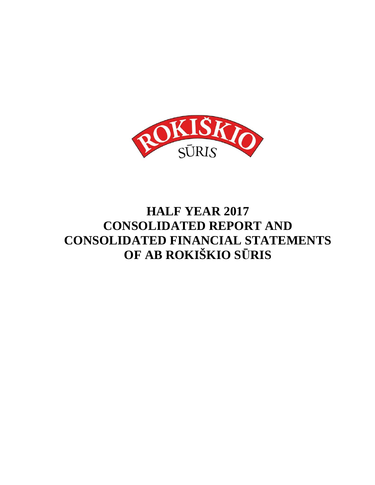

# **HALF YEAR 2017 CONSOLIDATED REPORT AND CONSOLIDATED FINANCIAL STATEMENTS OF AB ROKIŠKIO S**Ū**RIS**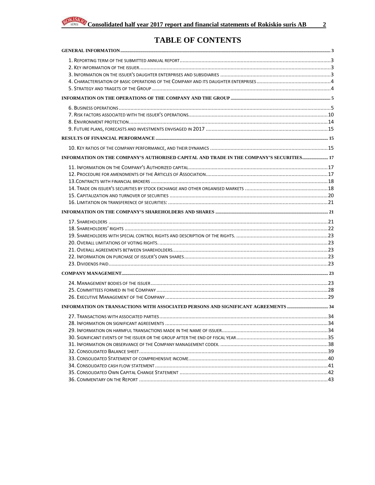

### **TABLE OF CONTENTS**

| INFORMATION ON THE COMPANY'S AUTHORISED CAPITAL AND TRADE IN THE COMPANY'S SECURITIES 17 |  |
|------------------------------------------------------------------------------------------|--|
|                                                                                          |  |
|                                                                                          |  |
|                                                                                          |  |
|                                                                                          |  |
|                                                                                          |  |
|                                                                                          |  |
|                                                                                          |  |
|                                                                                          |  |
|                                                                                          |  |
|                                                                                          |  |
|                                                                                          |  |
|                                                                                          |  |
|                                                                                          |  |
|                                                                                          |  |
|                                                                                          |  |
|                                                                                          |  |
|                                                                                          |  |
|                                                                                          |  |
|                                                                                          |  |
|                                                                                          |  |
|                                                                                          |  |
|                                                                                          |  |
|                                                                                          |  |
|                                                                                          |  |
|                                                                                          |  |
|                                                                                          |  |
|                                                                                          |  |
|                                                                                          |  |
|                                                                                          |  |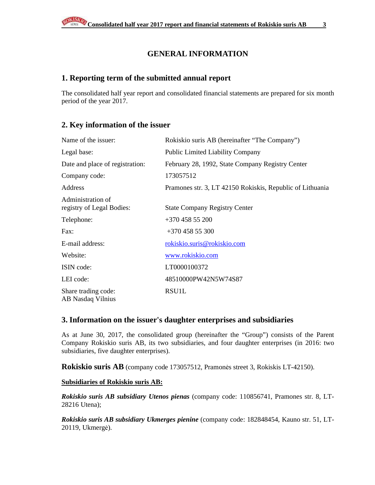### **GENERAL INFORMATION**

### **1. Reporting term of the submitted annual report**

The consolidated half year report and consolidated financial statements are prepared for six month period of the year 2017.

### **2. Key information of the issuer**

| Name of the issuer:                            | Rokiskio suris AB (hereinafter "The Company")             |
|------------------------------------------------|-----------------------------------------------------------|
| Legal base:                                    | <b>Public Limited Liability Company</b>                   |
| Date and place of registration:                | February 28, 1992, State Company Registry Center          |
| Company code:                                  | 173057512                                                 |
| Address                                        | Pramones str. 3, LT 42150 Rokiskis, Republic of Lithuania |
| Administration of<br>registry of Legal Bodies: | <b>State Company Registry Center</b>                      |
| Telephone:                                     | $+37045855200$                                            |
| Fax:                                           | $+37045855300$                                            |
| E-mail address:                                | rokiskio.suris@rokiskio.com                               |
| Website:                                       | www.rokiskio.com                                          |
| ISIN code:                                     | LT0000100372                                              |
| LEI code:                                      | 48510000PW42N5W74S87                                      |
| Share trading code:<br>AB Nasdaq Vilnius       | RSU1L                                                     |

### **3. Information on the issuer's daughter enterprises and subsidiaries**

As at June 30, 2017, the consolidated group (hereinafter the "Group") consists of the Parent Company Rokiskio suris AB, its two subsidiaries, and four daughter enterprises (in 2016: two subsidiaries, five daughter enterprises).

**Rokiskio suris AB** (company code 173057512, Pramonės street 3, Rokiskis LT-42150).

#### **Subsidiaries of Rokiskio suris AB:**

*Rokiskio suris AB subsidiary Utenos pienas* (company code: 110856741, Pramones str. 8, LT-28216 Utena);

*Rokiskio suris AB subsidiary Ukmerges pienine* (company code: 182848454, Kauno str. 51, LT-20119, Ukmergė).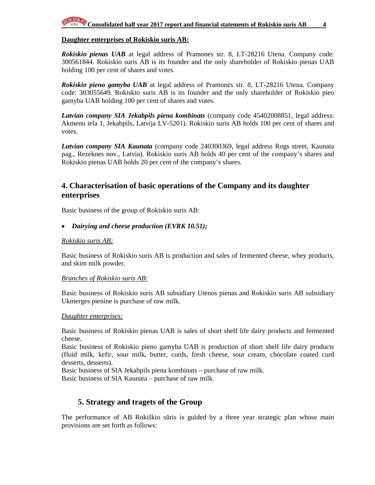#### **Daughter enterprises of Rokiskio suris AB:**

*Rokiskio pienas UAB* at legal address of Pramones str. 8, LT-28216 Utena. Company code: 300561844. Rokiskio suris AB is its founder and the only shareholder of Rokiskio pienas UAB holding 100 per cent of shares and votes.

*Rokiskio pieno gamyba UAB* at legal address of Pramonės str. 8, LT-28216 Utena. Company code: 303055649. Rokiskio suris AB is its founder and the only shareholder of Rokiskio pieo gamyba UAB holding 100 per cent of shares and votes.

*Latvian company SIA Jekabpils piena kombinats* (company code 45402008851, legal address: Akmenu iela 1, Jekabpils, Latvija LV-5201). Rokiskio suris AB holds 100 per cent of shares and votes.

*Latvian company SIA Kaunata* (company code 240300369, legal address Rogs street, Kaunata pag., Rezeknes nov., Latvia). Rokiskio suris AB holds 40 per cent of the company's shares and Rokiskio pienas UAB holds 20 per cent of the company's shares.

### **4. Characterisation of basic operations of the Company and its daughter enterprises**

Basic business of the group of Rokiskio suris AB:

#### • *Dairying and cheese production (EVRK 10.51);*

#### *Rokiskio suris AB:*

Basic business of Rokiskio suris AB is production and sales of fermented cheese, whey products, and skim milk powder.

#### *Branches of Rokiskio suris AB:*

Basic business of Rokiskio suris AB subsidiary Utenos pienas and Rokiskio suris AB subsidiary Ukmerges pienine is purchase of raw milk.

#### *Daughter enterprises:*

Basic business of Rokiskio pienas UAB is sales of short shelf life dairy products and fermented cheese.

Basic business of Rokiskio pieno gamyba UAB is production of short shelf life dairy products (fluid milk, kefir, sour milk, butter, curds, fresh cheese, sour cream, chocolate coated curd desserts, desserts).

Basic business of SIA Jekabpils piena kombinats – purchase of raw milk. Basic business of SIA Kaunata – purchase of raw milk.

### **5. Strategy and tragets of the Group**

The performance of AB Rokiškio sūris is guided by a three year strategic plan whose main provisions are set forth as follows: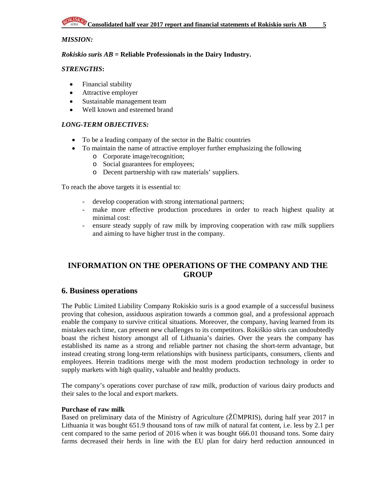#### *MISSION:*

#### *Rokiskio suris AB* **= Reliable Professionals in the Dairy Industry.**

#### *STRENGTHS***:**

- Financial stability
- Attractive employer
- Sustainable management team
- Well known and esteemed brand

#### *LONG-TERM OBJECTIVES:*

- To be a leading company of the sector in the Baltic countries
- To maintain the name of attractive employer further emphasizing the following
	- o Corporate image/recognition;
	- o Social guarantees for employees;
	- o Decent partnership with raw materials' suppliers.

To reach the above targets it is essential to:

- develop cooperation with strong international partners;
- make more effective production procedures in order to reach highest quality at minimal cost:
- ensure steady supply of raw milk by improving cooperation with raw milk suppliers and aiming to have higher trust in the company.

### **INFORMATION ON THE OPERATIONS OF THE COMPANY AND THE GROUP**

#### **6. Business operations**

The Public Limited Liability Company Rokiskio suris is a good example of a successful business proving that cohesion, assiduous aspiration towards a common goal, and a professional approach enable the company to survive critical situations. Moreover, the company, having learned from its mistakes each time, can present new challenges to its competitors. Rokiškio sūris can undoubtedly boast the richest history amongst all of Lithuania's dairies. Over the years the company has established its name as a strong and reliable partner not chasing the short-term advantage, but instead creating strong long-term relationships with business participants, consumers, clients and employees. Herein traditions merge with the most modern production technology in order to supply markets with high quality, valuable and healthy products.

The company's operations cover purchase of raw milk, production of various dairy products and their sales to the local and export markets.

#### **Purchase of raw milk**

Based on preliminary data of the Ministry of Agriculture (ŽŪMPRIS), during half year 2017 in Lithuania it was bought 651.9 thousand tons of raw milk of natural fat content, i.e. less by 2.1 per cent compared to the same period of 2016 when it was bought 666.01 thousand tons. Some dairy farms decreased their herds in line with the EU plan for dairy herd reduction announced in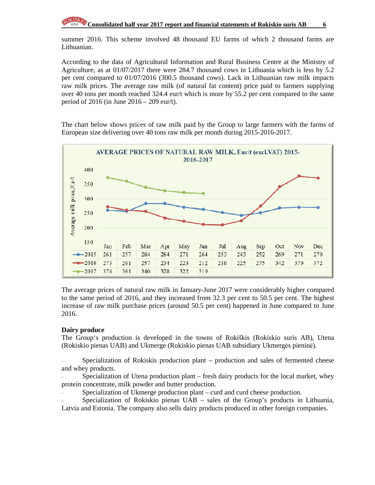summer 2016. This scheme involved 48 thousand EU farms of which 2 thousand farms are Lithuanian.

According to the data of Agricultural Information and Rural Business Centre at the Ministry of Agriculture, as at 01/07/2017 there were 284.7 thousand cows in Lithuania which is less by 5.2 per cent compared to 01/07/2016 (300.5 thousand cows). Lack in Lithuanian raw milk impacts raw milk prices. The average raw milk (of natural fat content) price paid to farmers supplying over 40 tons per month reached 324.4 eur/t which is more by 55.2 per cent compared to the same period of 2016 (in June 2016 – 209 eur/t).

The chart below shows prices of raw milk paid by the Group to large farmers with the farms of European size delivering over 40 tons raw milk per month during 2015-2016-2017.



The average prices of natural raw milk in January-June 2017 were considerably higher compared to the same period of 2016, and they increased from 32.3 per cent to 50.5 per cent. The highest increase of raw milk purchase prices (around 50.5 per cent) happened in June compared to June 2016.

#### **Dairy produce**

The Group's production is developed in the towns of Rokiškis (Rokiskio suris AB), Utena (Rokiskio pienas UAB) and Ukmerge (Rokiskio pienas UAB subsidiary Ukmergės pieninė).

Specialization of Rokiskis production plant – production and sales of fermented cheese and whey products.

Specialization of Utena production plant – fresh dairy products for the local market, whey protein concentrate, milk powder and butter production.

Specialization of Ukmerge production plant – curd and curd cheese production.

Specialization of Rokiskio pienas UAB - sales of the Group's products in Lithuania,

Latvia and Estonia. The company also sells dairy products produced in other foreign companies.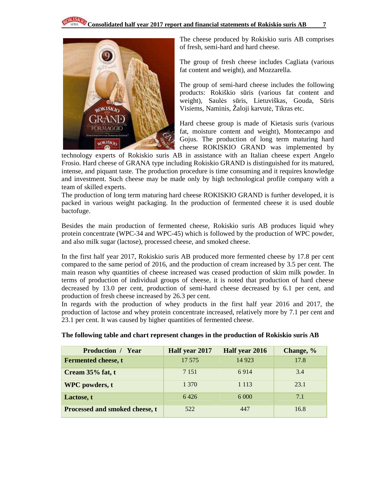

The cheese produced by Rokiskio suris AB comprises of fresh, semi-hard and hard cheese.

The group of fresh cheese includes Cagliata (various fat content and weight), and Mozzarella.

The group of semi-hard cheese includes the following products: Rokiškio sūris (various fat content and weight), Saulės sūris, Lietuviškas, Gouda, Sūris Visiems, Naminis, Žaloji karvutė, Tikras etc.

Hard cheese group is made of Kietasis suris (various fat, moisture content and weight), Montecampo and Gojus. The production of long term maturing hard cheese ROKISKIO GRAND was implemented by

technology experts of Rokiskio suris AB in assistance with an Italian cheese expert Angelo Frosio. Hard cheese of GRANA type including Rokiskio GRAND is distinguished for its matured, intense, and piquant taste. The production procedure is time consuming and it requires knowledge and investment. Such cheese may be made only by high technological profile company with a team of skilled experts.

The production of long term maturing hard cheese ROKISKIO GRAND is further developed, it is packed in various weight packaging. In the production of fermented cheese it is used double bactofuge.

Besides the main production of fermented cheese, Rokiskio suris AB produces liquid whey protein concentrate (WPC-34 and WPC-45) which is followed by the production of WPC powder, and also milk sugar (lactose), processed cheese, and smoked cheese.

In the first half year 2017, Rokiskio suris AB produced more fermented cheese by 17.8 per cent compared to the same period of 2016, and the production of cream increased by 3.5 per cent. The main reason why quantities of cheese increased was ceased production of skim milk powder. In terms of production of individual groups of cheese, it is noted that production of hard cheese decreased by 13.0 per cent, production of semi-hard cheese decreased by 6.1 per cent, and production of fresh cheese increased by 26.3 per cent.

In regards with the production of whey products in the first half year 2016 and 2017, the production of lactose and whey protein concentrate increased, relatively more by 7.1 per cent and 23.1 per cent. It was caused by higher quantities of fermented cheese.

| <b>Production / Year</b>       | Half year 2017 | Half year 2016 | Change, % |
|--------------------------------|----------------|----------------|-----------|
| <b>Fermented cheese, t</b>     | 17 5 7 5       | 14 9 23        | 17.8      |
| Cream 35% fat, t               | 7 1 5 1        | 6914           | 3.4       |
| <b>WPC</b> powders, t          | 1 3 7 0        | 1 1 1 3        | 23.1      |
| Lactose, t                     | 6426           |                | 7.1       |
| Processed and smoked cheese, t | 522            | 447            | 16.8      |

**The following table and chart represent changes in the production of Rokiskio suris AB**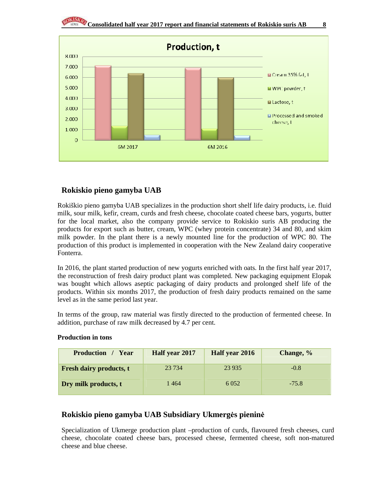

### **Rokiskio pieno gamyba UAB**

Rokiškio pieno gamyba UAB specializes in the production short shelf life dairy products, i.e. fluid milk, sour milk, kefir, cream, curds and fresh cheese, chocolate coated cheese bars, yogurts, butter for the local market, also the company provide service to Rokiskio suris AB producing the products for export such as butter, cream, WPC (whey protein concentrate) 34 and 80, and skim milk powder. In the plant there is a newly mounted line for the production of WPC 80. The production of this product is implemented in cooperation with the New Zealand dairy cooperative Fonterra.

In 2016, the plant started production of new yogurts enriched with oats. In the first half year 2017, the reconstruction of fresh dairy product plant was completed. New packaging equipment Elopak was bought which allows aseptic packaging of dairy products and prolonged shelf life of the products. Within six months 2017, the production of fresh dairy products remained on the same level as in the same period last year.

In terms of the group, raw material was firstly directed to the production of fermented cheese. In addition, purchase of raw milk decreased by 4.7 per cent.

| <b>Production</b> / Year       | Half year 2017<br>Half year 2016 |         | Change, % |
|--------------------------------|----------------------------------|---------|-----------|
| <b>Fresh dairy products, t</b> | 23 7 34                          | 23 9 35 | $-0.8$    |
| Dry milk products, t           | 1464                             | 6 0 5 2 | $-75.8$   |

#### **Production in tons**

### **Rokiskio pieno gamyba UAB Subsidiary Ukmerg**ė**s pienin**ė

Specialization of Ukmerge production plant –production of curds, flavoured fresh cheeses, curd cheese, chocolate coated cheese bars, processed cheese, fermented cheese, soft non-matured cheese and blue cheese.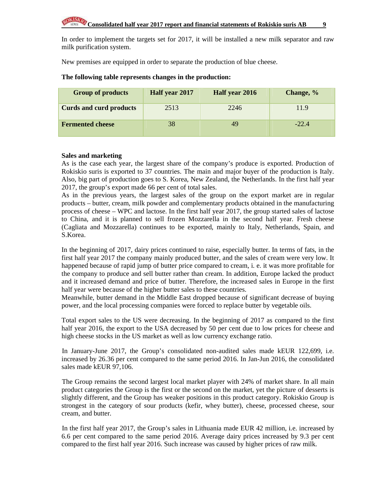In order to implement the targets set for 2017, it will be installed a new milk separator and raw milk purification system.

New premises are equipped in order to separate the production of blue cheese.

| <b>Group of products</b>       | Half year 2017 | Half year 2016 | Change, % |
|--------------------------------|----------------|----------------|-----------|
| <b>Curds and curd products</b> | 2513           | 2246           | 11.9      |
| <b>Fermented cheese</b>        | 38             | 49             | $-22.4$   |

### **The following table represents changes in the production:**

#### **Sales and marketing**

As is the case each year, the largest share of the company's produce is exported. Production of Rokiskio suris is exported to 37 countries. The main and major buyer of the production is Italy. Also, big part of production goes to S. Korea, New Zealand, the Netherlands. In the first half year 2017, the group's export made 66 per cent of total sales.

As in the previous years, the largest sales of the group on the export market are in regular products – butter, cream, milk powder and complementary products obtained in the manufacturing process of cheese – WPC and lactose. In the first half year 2017, the group started sales of lactose to China, and it is planned to sell frozen Mozzarella in the second half year. Fresh cheese (Cagliata and Mozzarella) continues to be exported, mainly to Italy, Netherlands, Spain, and S.Korea.

In the beginning of 2017, dairy prices continued to raise, especially butter. In terms of fats, in the first half year 2017 the company mainly produced butter, and the sales of cream were very low. It happened because of rapid jump of butter price compared to cream, i. e. it was more profitable for the company to produce and sell butter rather than cream. In addition, Europe lacked the product and it increased demand and price of butter. Therefore, the increased sales in Europe in the first half year were because of the higher butter sales to these countries.

Meanwhile, butter demand in the Middle East dropped because of significant decrease of buying power, and the local processing companies were forced to replace butter by vegetable oils.

Total export sales to the US were decreasing. In the beginning of 2017 as compared to the first half year 2016, the export to the USA decreased by 50 per cent due to low prices for cheese and high cheese stocks in the US market as well as low currency exchange ratio.

In January-June 2017, the Group's consolidated non-audited sales made kEUR 122,699, i.e. increased by 26.36 per cent compared to the same period 2016. In Jan-Jun 2016, the consolidated sales made kEUR 97,106.

The Group remains the second largest local market player with 24% of market share. In all main product categories the Group is the first or the second on the market, yet the picture of desserts is slightly different, and the Group has weaker positions in this product category. Rokiskio Group is strongest in the category of sour products (kefir, whey butter), cheese, processed cheese, sour cream, and butter.

In the first half year 2017, the Group's sales in Lithuania made EUR 42 million, i.e. increased by 6.6 per cent compared to the same period 2016. Average dairy prices increased by 9.3 per cent compared to the first half year 2016. Such increase was caused by higher prices of raw milk.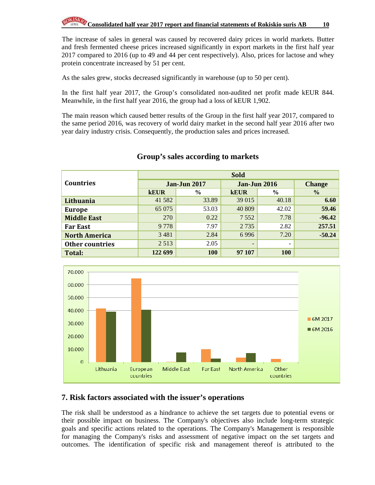The increase of sales in general was caused by recovered dairy prices in world markets. Butter and fresh fermented cheese prices increased significantly in export markets in the first half year 2017 compared to 2016 (up to 49 and 44 per cent respectively). Also, prices for lactose and whey protein concentrate increased by 51 per cent.

As the sales grew, stocks decreased significantly in warehouse (up to 50 per cent).

In the first half year 2017, the Group's consolidated non-audited net profit made kEUR 844. Meanwhile, in the first half year 2016, the group had a loss of kEUR 1,902.

The main reason which caused better results of the Group in the first half year 2017, compared to the same period 2016, was recovery of world dairy market in the second half year 2016 after two year dairy industry crisis. Consequently, the production sales and prices increased.

|                        | <b>Sold</b> |                     |                     |                          |               |  |
|------------------------|-------------|---------------------|---------------------|--------------------------|---------------|--|
| <b>Countries</b>       |             | <b>Jan-Jun 2017</b> | <b>Jan-Jun 2016</b> | <b>Change</b>            |               |  |
|                        | <b>kEUR</b> | $\frac{6}{9}$       | <b>kEUR</b>         | $\frac{6}{6}$            | $\frac{0}{0}$ |  |
| Lithuania              | 41 582      | 33.89               | 39 015              | 40.18                    | 6.60          |  |
| <b>Europe</b>          | 65 075      | 53.03               | 40 809              | 42.02                    | 59.46         |  |
| <b>Middle East</b>     | 270         | 0.22                | 7552                | 7.78                     | $-96.42$      |  |
| <b>Far East</b>        | 9778        | 7.97                | 2 7 3 5             | 2.82                     | 257.51        |  |
| <b>North America</b>   | 3 4 8 1     | 2.84                | 6996                | 7.20                     | $-50.24$      |  |
| <b>Other countries</b> | 2 5 1 3     | 2.05                | -                   | $\overline{\phantom{a}}$ |               |  |
| Total:                 | 122 699     | 100                 | 97 107              | <b>100</b>               |               |  |

### **Group's sales according to markets**



### **7. Risk factors associated with the issuer's operations**

The risk shall be understood as a hindrance to achieve the set targets due to potential evens or their possible impact on business. The Company's objectives also include long-term strategic goals and specific actions related to the operations. The Company's Management is responsible for managing the Company's risks and assessment of negative impact on the set targets and outcomes. The identification of specific risk and management thereof is attributed to the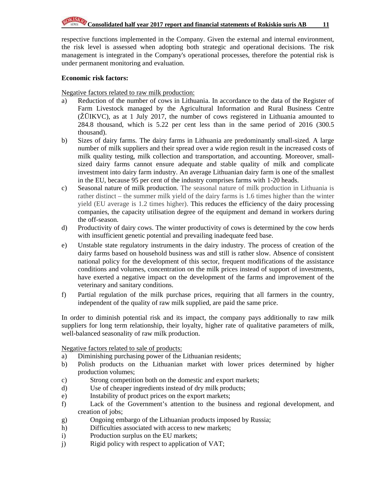respective functions implemented in the Company. Given the external and internal environment, the risk level is assessed when adopting both strategic and operational decisions. The risk management is integrated in the Company's operational processes, therefore the potential risk is under permanent monitoring and evaluation.

#### **Economic risk factors:**

Negative factors related to raw milk production:

- a) Reduction of the number of cows in Lithuania. In accordance to the data of the Register of Farm Livestock managed by the Agricultural Information and Rural Business Centre (ŽŪIKVC), as at 1 July 2017, the number of cows registered in Lithuania amounted to 284.8 thousand, which is 5.22 per cent less than in the same period of 2016 (300.5 thousand).
- b) Sizes of dairy farms. The dairy farms in Lithuania are predominantly small-sized. A large number of milk suppliers and their spread over a wide region result in the increased costs of milk quality testing, milk collection and transportation, and accounting. Moreover, smallsized dairy farms cannot ensure adequate and stable quality of milk and complicate investment into dairy farm industry. An average Lithuanian dairy farm is one of the smallest in the EU, because 95 per cent of the industry comprises farms with 1-20 heads.
- c) Seasonal nature of milk production. The seasonal nature of milk production in Lithuania is rather distinct – the summer milk yield of the dairy farms is 1.6 times higher than the winter yield (EU average is 1.2 times higher). This reduces the efficiency of the dairy processing companies, the capacity utilisation degree of the equipment and demand in workers during the off-season.
- d) Productivity of dairy cows. The winter productivity of cows is determined by the cow herds with insufficient genetic potential and prevailing inadequate feed base.
- e) Unstable state regulatory instruments in the dairy industry. The process of creation of the dairy farms based on household business was and still is rather slow. Absence of consistent national policy for the development of this sector, frequent modifications of the assistance conditions and volumes, concentration on the milk prices instead of support of investments, have exerted a negative impact on the development of the farms and improvement of the veterinary and sanitary conditions.
- f) Partial regulation of the milk purchase prices, requiring that all farmers in the country, independent of the quality of raw milk supplied, are paid the same price.

In order to diminish potential risk and its impact, the company pays additionally to raw milk suppliers for long term relationship, their loyalty, higher rate of qualitative parameters of milk, well-balanced seasonality of raw milk production.

Negative factors related to sale of products:

- a) Diminishing purchasing power of the Lithuanian residents;
- b) Polish products on the Lithuanian market with lower prices determined by higher production volumes;
- c) Strong competition both on the domestic and export markets;
- d) Use of cheaper ingredients instead of dry milk products;
- e) Instability of product prices on the export markets;
- f) Lack of the Government's attention to the business and regional development, and creation of jobs;
- g) Ongoing embargo of the Lithuanian products imposed by Russia;
- h) Difficulties associated with access to new markets;
- i) Production surplus on the EU markets;
- j) Rigid policy with respect to application of VAT;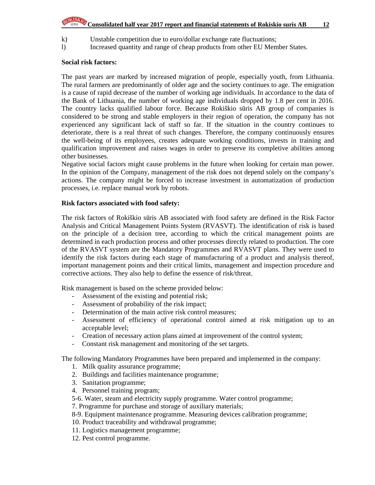# **Consolidated half year 2017 report and financial statements of Rokiskio suris AB** 12

- k) Unstable competition due to euro/dollar exchange rate fluctuations;
- l) Increased quantity and range of cheap products from other EU Member States.

#### **Social risk factors:**

The past years are marked by increased migration of people, especially youth, from Lithuania. The rural farmers are predominantly of older age and the society continues to age. The emigration is a cause of rapid decrease of the number of working age individuals. In accordance to the data of the Bank of Lithuania, the number of working age individuals dropped by 1.8 per cent in 2016. The country lacks qualified labour force. Because Rokiškio sūris AB group of companies is considered to be strong and stable employers in their region of operation, the company has not experienced any significant lack of staff so far. If the situation in the country continues to deteriorate, there is a real threat of such changes. Therefore, the company continuously ensures the well-being of its employees, creates adequate working conditions, invests in training and qualification improvement and raises wages in order to preserve its completive abilities among other businesses.

Negative social factors might cause problems in the future when looking for certain man power. In the opinion of the Company, management of the risk does not depend solely on the company's actions. The company might be forced to increase investment in automatization of production processes, i.e. replace manual work by robots.

#### **Risk factors associated with food safety:**

The risk factors of Rokiškio sūris AB associated with food safety are defined in the Risk Factor Analysis and Critical Management Points System (RVASVT). The identification of risk is based on the principle of a decision tree, according to which the critical management points are determined in each production process and other processes directly related to production. The core of the RVASVT system are the Mandatory Programmes and RVASVT plans. They were used to identify the risk factors during each stage of manufacturing of a product and analysis thereof, important management points and their critical limits, management and inspection procedure and corrective actions. They also help to define the essence of risk/threat.

Risk management is based on the scheme provided below:

- Assessment of the existing and potential risk;
- Assessment of probability of the risk impact;
- Determination of the main active risk control measures;
- Assessment of efficiency of operational control aimed at risk mitigation up to an acceptable level;
- Creation of necessary action plans aimed at improvement of the control system;
- Constant risk management and monitoring of the set targets.

The following Mandatory Programmes have been prepared and implemented in the company:

- 1. Milk quality assurance programme;
- 2. Buildings and facilities maintenance programme;
- 3. Sanitation programme;
- 4. Personnel training program;
- 5-6. Water, steam and electricity supply programme. Water control programme;
- 7. Programme for purchase and storage of auxiliary materials;
- 8-9. Equipment maintenance programme. Measuring devices calibration programme;
- 10. Product traceability and withdrawal programme;
- 11. Logistics management programme;
- 12. Pest control programme.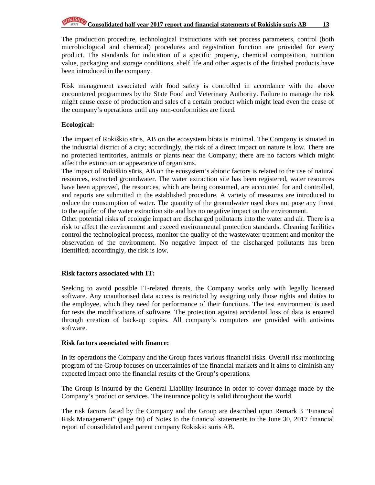# **Consolidated half year 2017 report and financial statements of Rokiskio suris AB** 13

The production procedure, technological instructions with set process parameters, control (both microbiological and chemical) procedures and registration function are provided for every product. The standards for indication of a specific property, chemical composition, nutrition value, packaging and storage conditions, shelf life and other aspects of the finished products have been introduced in the company.

Risk management associated with food safety is controlled in accordance with the above encountered programmes by the State Food and Veterinary Authority. Failure to manage the risk might cause cease of production and sales of a certain product which might lead even the cease of the company's operations until any non-conformities are fixed.

#### **Ecological:**

The impact of Rokiškio sūris, AB on the ecosystem biota is minimal. The Company is situated in the industrial district of a city; accordingly, the risk of a direct impact on nature is low. There are no protected territories, animals or plants near the Company; there are no factors which might affect the extinction or appearance of organisms.

The impact of Rokiškio sūris, AB on the ecosystem's abiotic factors is related to the use of natural resources, extracted groundwater. The water extraction site has been registered, water resources have been approved, the resources, which are being consumed, are accounted for and controlled, and reports are submitted in the established procedure. A variety of measures are introduced to reduce the consumption of water. The quantity of the groundwater used does not pose any threat to the aquifer of the water extraction site and has no negative impact on the environment.

Other potential risks of ecologic impact are discharged pollutants into the water and air. There is a risk to affect the environment and exceed environmental protection standards. Cleaning facilities control the technological process, monitor the quality of the wastewater treatment and monitor the observation of the environment. No negative impact of the discharged pollutants has been identified; accordingly, the risk is low.

#### **Risk factors associated with IT:**

Seeking to avoid possible IT-related threats, the Company works only with legally licensed software. Any unauthorised data access is restricted by assigning only those rights and duties to the employee, which they need for performance of their functions. The test environment is used for tests the modifications of software. The protection against accidental loss of data is ensured through creation of back-up copies. All company's computers are provided with antivirus software.

#### **Risk factors associated with finance:**

In its operations the Company and the Group faces various financial risks. Overall risk monitoring program of the Group focuses on uncertainties of the financial markets and it aims to diminish any expected impact onto the financial results of the Group's operations.

The Group is insured by the General Liability Insurance in order to cover damage made by the Company's product or services. The insurance policy is valid throughout the world.

The risk factors faced by the Company and the Group are described upon Remark 3 "Financial Risk Management" (page 46) of Notes to the financial statements to the June 30, 2017 financial report of consolidated and parent company Rokiskio suris AB.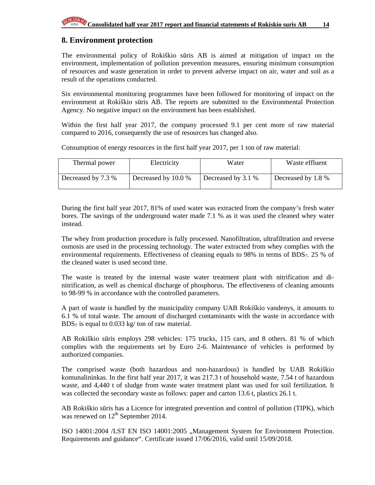### **8. Environment protection**

The environmental policy of Rokiškio sūris AB is aimed at mitigation of impact on the environment, implementation of pollution prevention measures, ensuring minimum consumption of resources and waste generation in order to prevent adverse impact on air, water and soil as a result of the operations conducted.

Six environmental monitoring programmes have been followed for monitoring of impact on the environment at Rokiškio sūris AB. The reports are submitted to the Environmental Protection Agency. No negative impact on the environment has been established.

Within the first half year 2017, the company processed 9.1 per cent more of raw material compared to 2016, consequently the use of resources has changed also.

Consumption of energy resources in the first half year 2017, per 1 ton of raw material:

| Thermal power      | Electricity         | Water              | Waste effluent     |
|--------------------|---------------------|--------------------|--------------------|
| Decreased by 7.3 % | Decreased by 10.0 % | Decreased by 3.1 % | Decreased by 1.8 % |

During the first half year 2017, 81% of used water was extracted from the company's fresh water bores. The savings of the underground water made 7.1 % as it was used the cleaned whey water instead.

The whey from production procedure is fully processed. Nanofiltration, ultrafiltration and reverse osmosis are used in the processing technology. The water extracted from whey complies with the environmental requirements. Effectiveness of cleaning equals to 98% in terms of BDS7. 25 % of the cleaned water is used second time.

The waste is treated by the internal waste water treatment plant with nitrification and dinitrification, as well as chemical discharge of phosphorus. The effectiveness of cleaning amounts to 98-99 % in accordance with the controlled parameters.

A part of waste is handled by the municipality company UAB Rokiškio vandenys, it amounts to 6.1 % of total waste. The amount of discharged contaminants with the waste in accordance with  $BDS<sub>7</sub>$  is equal to 0.033 kg/ ton of raw material.

AB Rokiškio sūris employs 298 vehicles: 175 trucks, 115 cars, and 8 others. 81 % of which complies with the requirements set by Euro 2-6. Maintenance of vehicles is performed by authorized companies.

The comprised waste (both hazardous and non-hazardous) is handled by UAB Rokiškio komunalininkas. In the first half year 2017, it was 217.3 t of household waste, 7.54 t of hazardous waste, and 4,440 t of sludge from waste water treatment plant was used for soil fertilization. It was collected the secondary waste as follows: paper and carton 13.6 t, plastics 26.1 t.

AB Rokiškio sūris has a Licence for integrated prevention and control of pollution (TIPK), which was renewed on 12<sup>th</sup> September 2014.

ISO 14001:2004 /LST EN ISO 14001:2005 "Management System for Environment Protection. Requirements and guidance". Certificate issued 17/06/2016, valid until 15/09/2018.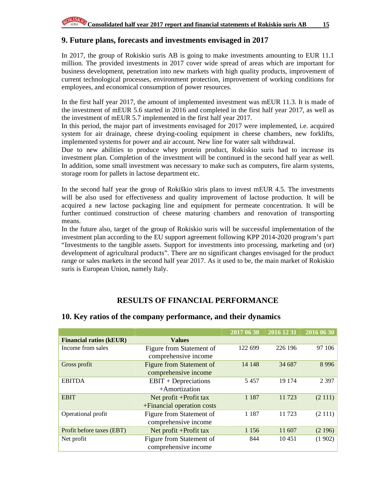### **9. Future plans, forecasts and investments envisaged in 2017**

In 2017, the group of Rokiskio suris AB is going to make investments amounting to EUR 11.1 million. The provided investments in 2017 cover wide spread of areas which are important for business development, penetration into new markets with high quality products, improvement of current technological processes, environment protection, improvement of working conditions for employees, and economical consumption of power resources.

In the first half year 2017, the amount of implemented investment was mEUR 11.3. It is made of the investment of mEUR 5.6 started in 2016 and completed in the first half year 2017, as well as the investment of mEUR 5.7 implemented in the first half year 2017.

In this period, the major part of investments envisaged for 2017 were implemented, i.e. acquired system for air drainage, cheese drying-cooling equipment in cheese chambers, new forklifts, implemented systems for power and air account. New line for water salt withdrawal.

Due to new abilities to produce whey protein product, Rokiskio suris had to increase its investment plan. Completion of the investment will be continued in the second half year as well. In addition, some small investment was necessary to make such as computers, fire alarm systems, storage room for pallets in lactose department etc.

In the second half year the group of Rokiškio sūris plans to invest mEUR 4.5. The investments will be also used for effectiveness and quality improvement of lactose production. It will be acquired a new lactose packaging line and equipment for permeate concentration. It will be further continued construction of cheese maturing chambers and renovation of transporting means.

In the future also, target of the group of Rokiskio suris will be successful implementation of the investment plan according to the EU support agreement following KPP 2014-2020 program's part "Investments to the tangible assets. Support for investments into processing, marketing and (or) development of agricultural products". There are no significant changes envisaged for the product range or sales markets in the second half year 2017. As it used to be, the main market of Rokiskio suris is European Union, namely Italy.

### **RESULTS OF FINANCIAL PERFORMANCE**

|                                |                                 | 2017 06 30 | 2016 12 31 | 2016 06 30 |
|--------------------------------|---------------------------------|------------|------------|------------|
| <b>Financial ratios (kEUR)</b> | <b>Values</b>                   |            |            |            |
| Income from sales              | Figure from Statement of        | 122 699    | 226 196    | 97 106     |
|                                | comprehensive income            |            |            |            |
| Gross profit                   | <b>Figure from Statement of</b> | 14 148     | 34 687     | 8 9 9 6    |
|                                | comprehensive income            |            |            |            |
| <b>EBITDA</b>                  | $EBIT + Depreciations$          | 5457       | 19 174     | 2 3 9 7    |
|                                | +Amortization                   |            |            |            |
| <b>EBIT</b>                    | Net profit +Profit tax          | 1 1 8 7    | 11723      | (2 111)    |
|                                | +Financial operation costs      |            |            |            |
| Operational profit             | Figure from Statement of        | 1 1 8 7    | 11723      | (2111)     |
|                                | comprehensive income            |            |            |            |
| Profit before taxes (EBT)      | Net profit + Profit tax         | 1 1 5 6    | 11 607     | (2196)     |
| Net profit                     | Figure from Statement of        | 844        | 10451      | (1902)     |
|                                | comprehensive income            |            |            |            |

#### **10. Key ratios of the company performance, and their dynamics**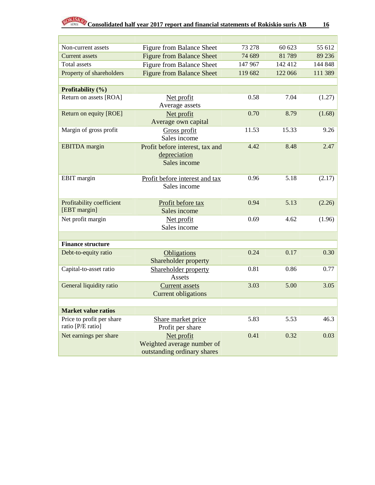| Non-current assets                             | <b>Figure from Balance Sheet</b> | 73 278  | 60 623  | 55 612  |
|------------------------------------------------|----------------------------------|---------|---------|---------|
| <b>Current</b> assets                          | <b>Figure from Balance Sheet</b> | 74 689  | 81789   | 89 236  |
| <b>Total</b> assets                            | Figure from Balance Sheet        | 147 967 | 142 412 | 144 848 |
| Property of shareholders                       | <b>Figure from Balance Sheet</b> | 119 682 | 122 066 | 111 389 |
|                                                |                                  |         |         |         |
| Profitability (%)                              |                                  |         |         |         |
| Return on assets [ROA]                         | Net profit                       | 0.58    | 7.04    | (1.27)  |
|                                                | Average assets                   |         |         |         |
| Return on equity [ROE]                         | Net profit                       | 0.70    | 8.79    | (1.68)  |
|                                                | Average own capital              |         |         |         |
| Margin of gross profit                         | Gross profit                     | 11.53   | 15.33   | 9.26    |
|                                                | Sales income                     |         |         |         |
| <b>EBITDA</b> margin                           | Profit before interest, tax and  | 4.42    | 8.48    | 2.47    |
|                                                | depreciation                     |         |         |         |
|                                                | Sales income                     |         |         |         |
|                                                |                                  |         |         |         |
| EBIT margin                                    | Profit before interest and tax   | 0.96    | 5.18    | (2.17)  |
|                                                | Sales income                     |         |         |         |
|                                                |                                  |         |         |         |
| Profitability coefficient                      | Profit before tax                | 0.94    | 5.13    | (2.26)  |
| [EBT margin]                                   | Sales income                     |         |         |         |
| Net profit margin                              | Net profit                       | 0.69    | 4.62    | (1.96)  |
|                                                | Sales income                     |         |         |         |
|                                                |                                  |         |         |         |
| <b>Finance structure</b>                       |                                  |         |         |         |
| Debt-to-equity ratio                           | Obligations                      | 0.24    | 0.17    | 0.30    |
|                                                | Shareholder property             |         |         |         |
| Capital-to-asset ratio                         | Shareholder property             | 0.81    | 0.86    | 0.77    |
|                                                | Assets                           |         |         |         |
| General liquidity ratio                        | <b>Current</b> assets            | 3.03    | 5.00    | 3.05    |
|                                                | <b>Current obligations</b>       |         |         |         |
|                                                |                                  |         |         |         |
| <b>Market value ratios</b>                     |                                  |         |         |         |
| Price to profit per share<br>ratio [P/E ratio] | Share market price               | 5.83    | 5.53    | 46.3    |
|                                                | Profit per share                 |         |         |         |
| Net earnings per share                         | Net profit                       | 0.41    | 0.32    | 0.03    |
|                                                | Weighted average number of       |         |         |         |
|                                                | outstanding ordinary shares      |         |         |         |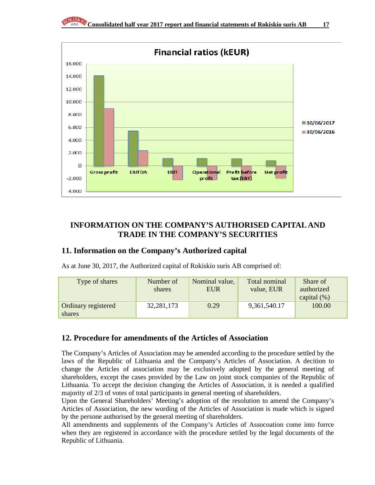

## **INFORMATION ON THE COMPANY'S AUTHORISED CAPITAL AND TRADE IN THE COMPANY'S SECURITIES**

### **11. Information on the Company's Authorized capital**

As at June 30, 2017, the Authorized capital of Rokiskio suris AB comprised of:

| Type of shares                | Number of<br>shares | Nominal value,<br><b>EUR</b> | Total nominal<br>value, EUR | Share of<br>authorized<br>capital $(\%)$ |
|-------------------------------|---------------------|------------------------------|-----------------------------|------------------------------------------|
| Ordinary registered<br>shares | 32, 281, 173        | 0.29                         | 9,361,540.17                | 100.00                                   |

### **12. Procedure for amendments of the Articles of Association**

The Company's Articles of Association may be amended according to the procedure settled by the laws of the Republic of Lithuania and the Company's Articles of Association. A decition to change the Articles of association may be exclusively adopted by the general meeting of shareholders, except the cases provided by the Law on joint stock companies of the Republic of Lithuania. To accept the decision changing the Articles of Association, it is needed a qualified majority of 2/3 of votes of total participants in general meeting of shareholders.

Upon the General Shareholders' Meeting's adoption of the resolution to amend the Company's Articles of Association, the new wording of the Articles of Association is made which is signed by the persone authorised by the general meeting of shareholders.

All amendments and supplements of the Company's Articles of Assocoation come into forrce when they are registered in accordance with the procedure settled by the legal documents of the Republic of Lithuania.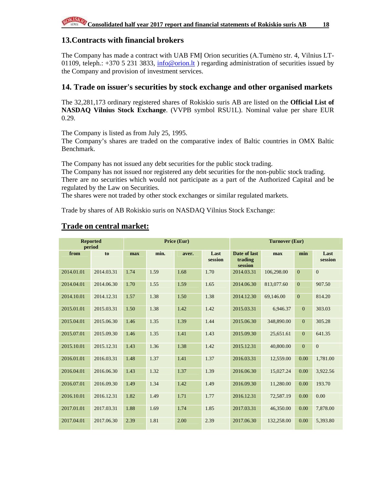### **13.Contracts with financial brokers**

The Company has made a contract with UAB FMĮ Orion securities (A.Tumėno str. 4, Vilnius LT-01109, teleph.:  $+37052313833$ , info@orion.lt ) regarding administration of securities issued by the Company and provision of investment services.

### **14. Trade on issuer's securities by stock exchange and other organised markets**

The 32,281,173 ordinary registered shares of Rokiskio suris AB are listed on the **Official List of NASDAQ Vilnius Stock Exchange**. (VVPB symbol RSU1L). Nominal value per share EUR 0.29.

The Company is listed as from July 25, 1995.

The Company's shares are traded on the comparative index of Baltic countries in OMX Baltic Benchmark.

The Company has not issued any debt securities for the public stock trading.

The Company has not issued nor registered any debt securities for the non-public stock trading. There are no securities which would not participate as a part of the Authorized Capital and be regulated by the Law on Securities.

The shares were not traded by other stock exchanges or similar regulated markets.

Trade by shares of AB Rokiskio suris on NASDAQ Vilnius Stock Exchange:

| <b>Reported</b><br>period |            | Price (Eur) |      |       | <b>Turnover (Eur)</b> |                                    |            |                  |                 |
|---------------------------|------------|-------------|------|-------|-----------------------|------------------------------------|------------|------------------|-----------------|
| from                      | to         | max         | min. | aver. | Last<br>session       | Date of last<br>trading<br>session | max        | min              | Last<br>session |
| 2014.01.01                | 2014.03.31 | 1.74        | 1.59 | 1.68  | 1.70                  | 2014.03.31                         | 106,298.00 | $\overline{0}$   | $\mathbf{0}$    |
| 2014.04.01                | 2014.06.30 | 1.70        | 1.55 | 1.59  | 1.65                  | 2014.06.30                         | 813,077.60 | $\overline{0}$   | 907.50          |
| 2014.10.01                | 2014.12.31 | 1.57        | 1.38 | 1.50  | 1.38                  | 2014.12.30                         | 69,146.00  | $\boldsymbol{0}$ | 814.20          |
| 2015.01.01                | 2015.03.31 | 1.50        | 1.38 | 1.42  | 1.42                  | 2015.03.31                         | 6,946.37   | $\mathbf{0}$     | 303.03          |
| 2015.04.01                | 2015.06.30 | 1.46        | 1.35 | 1.39  | 1.44                  | 2015.06.30                         | 348,890.00 | $\mathbf{0}$     | 305.28          |
| 2015.07.01                | 2015.09.30 | 1.46        | 1.35 | 1.41  | 1.43                  | 2015.09.30                         | 25,651.61  | $\mathbf{0}$     | 641.35          |
| 2015.10.01                | 2015.12.31 | 1.43        | 1.36 | 1.38  | 1.42                  | 2015.12.31                         | 40,800.00  | $\overline{0}$   | $\overline{0}$  |
| 2016.01.01                | 2016.03.31 | 1.48        | 1.37 | 1.41  | 1.37                  | 2016.03.31                         | 12,559.00  | 0.00             | 1,781.00        |
| 2016.04.01                | 2016.06.30 | 1.43        | 1.32 | 1.37  | 1.39                  | 2016.06.30                         | 15,027.24  | 0.00             | 3,922.56        |
| 2016.07.01                | 2016.09.30 | 1.49        | 1.34 | 1.42  | 1.49                  | 2016.09.30                         | 11,280.00  | 0.00             | 193.70          |
| 2016.10.01                | 2016.12.31 | 1.82        | 1.49 | 1.71  | 1.77                  | 2016.12.31                         | 72,587.19  | 0.00             | 0.00            |
| 2017.01.01                | 2017.03.31 | 1.88        | 1.69 | 1.74  | 1.85                  | 2017.03.31                         | 46,350.00  | 0.00             | 7,878.00        |
| 2017.04.01                | 2017.06.30 | 2.39        | 1.81 | 2.00  | 2.39                  | 2017.06.30                         | 132,258.00 | 0.00             | 5,393.80        |

### **Trade on central market:**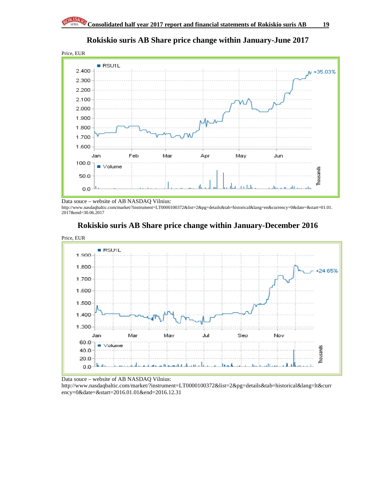

### **Rokiskio suris AB Share price change within January-June 2017**

Data souce – website of AB NASDAQ Vilnius: http://www.nasdaqbaltic.com/market/?instrument=LT0000100372&list=2&pg=details&tab=historical&lang=en&currency=0&date=&start=01.01. 2017&end=30.06.2017



### **Rokiskio suris AB Share price change within January-December 2016**

Data souce – website of AB NASDAQ Vilnius:

http://www.nasdaqbaltic.com/market/?instrument=LT0000100372&list=2&pg=details&tab=historical&lang=lt&curr ency=0&date=&start=2016.01.01&end=2016.12.31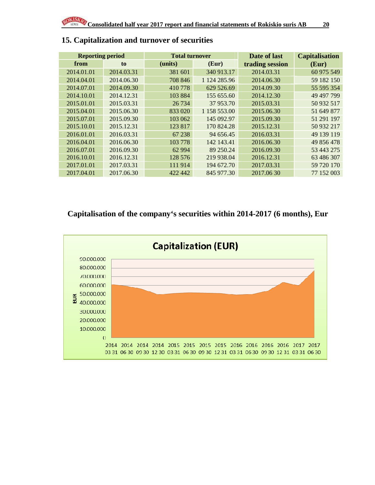| <b>Reporting period</b> |            | <b>Total turnover</b> |              | Date of last    | <b>Capitalisation</b> |
|-------------------------|------------|-----------------------|--------------|-----------------|-----------------------|
| from                    | to         | (units)               | (Eur)        | trading session | (Eur)                 |
| 2014.01.01              | 2014.03.31 | 381 601               | 340 913.17   | 2014.03.31      | 60 975 549            |
| 2014.04.01              | 2014.06.30 | 708 846               | 1 124 285.96 | 2014.06.30      | 59 182 150            |
| 2014.07.01              | 2014.09.30 | 410778                | 629 526.69   | 2014.09.30      | 55 595 354            |
| 2014.10.01              | 2014.12.31 | 103 884               | 155 655.60   | 2014.12.30      | 49 497 799            |
| 2015.01.01              | 2015.03.31 | 26 7 34               | 37 953.70    | 2015.03.31      | 50 932 517            |
| 2015.04.01              | 2015.06.30 | 833 020               | 1 158 553.00 | 2015.06.30      | 51 649 877            |
| 2015.07.01              | 2015.09.30 | 103 062               | 145 092.97   | 2015.09.30      | 51 291 197            |
| 2015.10.01              | 2015.12.31 | 123 817               | 170 824.28   | 2015.12.31      | 50 932 217            |
| 2016.01.01              | 2016.03.31 | 67 238                | 94 656.45    | 2016.03.31      | 49 139 119            |
| 2016.04.01              | 2016.06.30 | 103 778               | 142 143.41   | 2016.06.30      | 49 856 478            |
| 2016.07.01              | 2016.09.30 | 62 9 94               | 89 250.24    | 2016.09.30      | 53 443 275            |
| 2016.10.01              | 2016.12.31 | 128 576               | 219 938.04   | 2016.12.31      | 63 486 307            |
| 2017.01.01              | 2017.03.31 | 111914                | 194 672.70   | 2017.03.31      | 59 720 170            |
| 2017.04.01              | 2017.06.30 | 422 442               | 845 977.30   | 2017.06 30      | 77 152 003            |

### **15. Capitalization and turnover of securities**

### **Capitalisation of the company's securities within 2014-2017 (6 months), Eur**

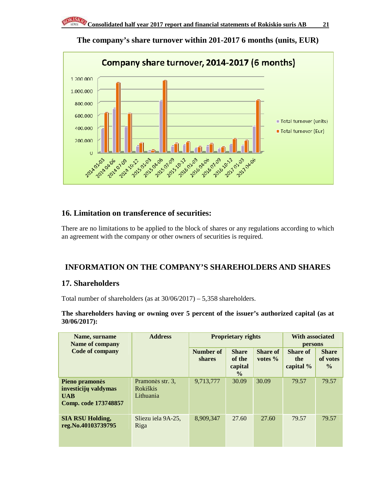

**The company's share turnover within 201-2017 6 months (units, EUR)** 

### **16. Limitation on transference of securities:**

There are no limitations to be applied to the block of shares or any regulations according to which an agreement with the company or other owners of securities is required.

### **INFORMATION ON THE COMPANY'S SHAREHOLDERS AND SHARES**

### **17. Shareholders**

Total number of shareholders (as at 30/06/2017) – 5,358 shareholders.

**The shareholders having or owning over 5 percent of the issuer's authorized capital (as at 30/06/2017):** 

| Name, surname<br><b>Name of company</b>                                      |                                                  | <b>Proprietary rights</b>  | <b>With associated</b><br>persons                  |                        |                                     |                                           |
|------------------------------------------------------------------------------|--------------------------------------------------|----------------------------|----------------------------------------------------|------------------------|-------------------------------------|-------------------------------------------|
| <b>Code of company</b>                                                       |                                                  | Number of<br><b>shares</b> | <b>Share</b><br>of the<br>capital<br>$\frac{6}{6}$ | Share of<br>votes $\%$ | <b>Share of</b><br>the<br>capital % | <b>Share</b><br>of votes<br>$\frac{0}{0}$ |
| Pieno pramonės<br>investicijų valdymas<br><b>UAB</b><br>Comp. code 173748857 | Pramonės str. 3,<br><b>Rokiškis</b><br>Lithuania | 9,713,777                  | 30.09                                              | 30.09                  | 79.57                               | 79.57                                     |
| <b>SIA RSU Holding,</b><br>reg.No.40103739795                                | Sliezu iela 9A-25,<br>Riga                       | 8,909,347                  | 27.60                                              | 27.60                  | 79.57                               | 79.57                                     |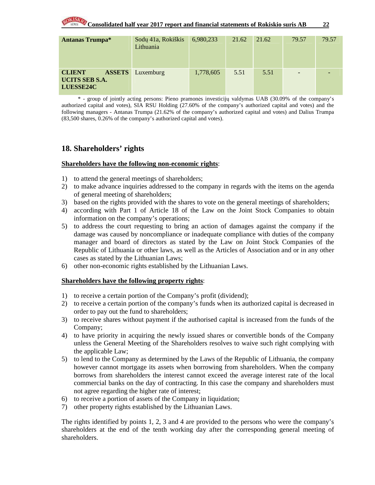| <b>Antanas Trumpa*</b>                                                      | Sodų 41a, Rokiškis<br>Lithuania | 6,980,233 | 21.62 | 21.62 | 79.57          | 79.57 |
|-----------------------------------------------------------------------------|---------------------------------|-----------|-------|-------|----------------|-------|
| <b>ASSETS</b><br><b>CLIENT</b><br><b>UCITS SEB S.A.</b><br><b>LUESSE24C</b> | Luxemburg                       | 1,778,605 | 5.51  | 5.51  | $\blacksquare$ |       |

\* - group of jointly acting persons: Pieno pramonės investicijų valdymas UAB (30.09% of the company's authorized capital and votes), SIA RSU Holding (27.60% of the company's authorized capital and votes) and the following managers - Antanas Trumpa (21.62% of the company's authorized capital and votes) and Dalius Trumpa (83,500 shares, 0.26% of the company's authorized capital and votes).

### **18. Shareholders' rights**

### **Shareholders have the following non-economic rights**:

- 1) to attend the general meetings of shareholders;
- 2) to make advance inquiries addressed to the company in regards with the items on the agenda of general meeting of shareholders;
- 3) based on the rights provided with the shares to vote on the general meetings of shareholders;
- 4) according with Part 1 of Article 18 of the Law on the Joint Stock Companies to obtain information on the company's operations;
- 5) to address the court requesting to bring an action of damages against the company if the damage was caused by noncompliance or inadequate compliance with duties of the company manager and board of directors as stated by the Law on Joint Stock Companies of the Republic of Lithuania or other laws, as well as the Articles of Association and or in any other cases as stated by the Lithuanian Laws;
- 6) other non-economic rights established by the Lithuanian Laws.

#### **Shareholders have the following property rights**:

- 1) to receive a certain portion of the Company's profit (dividend);
- 2) to receive a certain portion of the company's funds when its authorized capital is decreased in order to pay out the fund to shareholders;
- 3) to receive shares without payment if the authorised capital is increased from the funds of the Company;
- 4) to have priority in acquiring the newly issued shares or convertible bonds of the Company unless the General Meeting of the Shareholders resolves to waive such right complying with the applicable Law;
- 5) to lend to the Company as determined by the Laws of the Republic of Lithuania, the company however cannot mortgage its assets when borrowing from shareholders. When the company borrows from shareholders the interest cannot exceed the average interest rate of the local commercial banks on the day of contracting. In this case the company and shareholders must not agree regarding the higher rate of interest;
- 6) to receive a portion of assets of the Company in liquidation;
- 7) other property rights established by the Lithuanian Laws.

The rights identified by points 1, 2, 3 and 4 are provided to the persons who were the company's shareholders at the end of the tenth working day after the corresponding general meeting of shareholders.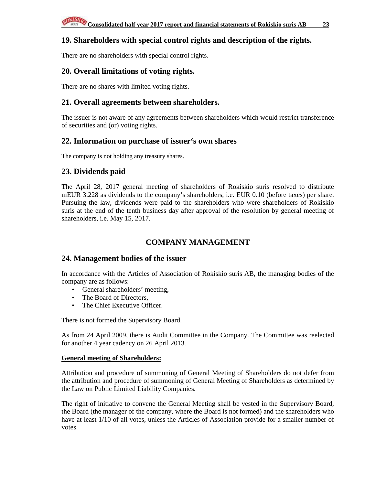### **19. Shareholders with special control rights and description of the rights.**

There are no shareholders with special control rights.

### **20. Overall limitations of voting rights.**

There are no shares with limited voting rights.

### **21. Overall agreements between shareholders.**

The issuer is not aware of any agreements between shareholders which would restrict transference of securities and (or) voting rights.

### **22. Information on purchase of issuer's own shares**

The company is not holding any treasury shares.

### **23. Dividends paid**

The April 28, 2017 general meeting of shareholders of Rokiskio suris resolved to distribute mEUR 3.228 as dividends to the company's shareholders, i.e. EUR 0.10 (before taxes) per share. Pursuing the law, dividends were paid to the shareholders who were shareholders of Rokiskio suris at the end of the tenth business day after approval of the resolution by general meeting of shareholders, i.e. May 15, 2017.

### **COMPANY MANAGEMENT**

### **24. Management bodies of the issuer**

In accordance with the Articles of Association of Rokiskio suris AB, the managing bodies of the company are as follows:

- General shareholders' meeting,
- The Board of Directors.
- The Chief Executive Officer.

There is not formed the Supervisory Board.

As from 24 April 2009, there is Audit Committee in the Company. The Committee was reelected for another 4 year cadency on 26 April 2013.

#### **General meeting of Shareholders:**

Attribution and procedure of summoning of General Meeting of Shareholders do not defer from the attribution and procedure of summoning of General Meeting of Shareholders as determined by the Law on Public Limited Liability Companies.

The right of initiative to convene the General Meeting shall be vested in the Supervisory Board, the Board (the manager of the company, where the Board is not formed) and the shareholders who have at least 1/10 of all votes, unless the Articles of Association provide for a smaller number of votes.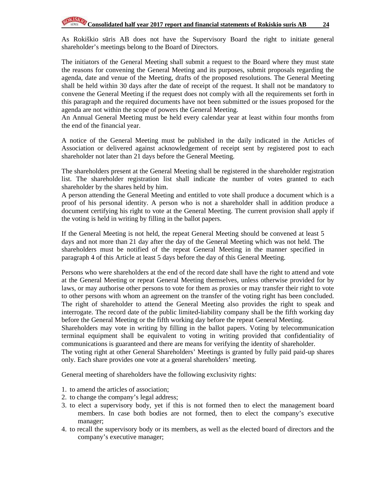As Rokiškio sūris AB does not have the Supervisory Board the right to initiate general shareholder's meetings belong to the Board of Directors.

The initiators of the General Meeting shall submit a request to the Board where they must state the reasons for convening the General Meeting and its purposes, submit proposals regarding the agenda, date and venue of the Meeting, drafts of the proposed resolutions. The General Meeting shall be held within 30 days after the date of receipt of the request. It shall not be mandatory to convene the General Meeting if the request does not comply with all the requirements set forth in this paragraph and the required documents have not been submitted or the issues proposed for the agenda are not within the scope of powers the General Meeting.

An Annual General Meeting must be held every calendar year at least within four months from the end of the financial year.

A notice of the General Meeting must be published in the daily indicated in the Articles of Association or delivered against acknowledgement of receipt sent by registered post to each shareholder not later than 21 days before the General Meeting.

The shareholders present at the General Meeting shall be registered in the shareholder registration list. The shareholder registration list shall indicate the number of votes granted to each shareholder by the shares held by him.

A person attending the General Meeting and entitled to vote shall produce a document which is a proof of his personal identity. A person who is not a shareholder shall in addition produce a document certifying his right to vote at the General Meeting. The current provision shall apply if the voting is held in writing by filling in the ballot papers.

If the General Meeting is not held, the repeat General Meeting should be convened at least 5 days and not more than 21 day after the day of the General Meeting which was not held. The shareholders must be notified of the repeat General Meeting in the manner specified in paragraph 4 of this Article at least 5 days before the day of this General Meeting.

Persons who were shareholders at the end of the record date shall have the right to attend and vote at the General Meeting or repeat General Meeting themselves, unless otherwise provided for by laws, or may authorise other persons to vote for them as proxies or may transfer their right to vote to other persons with whom an agreement on the transfer of the voting right has been concluded. The right of shareholder to attend the General Meeting also provides the right to speak and interrogate. The record date of the public limited-liability company shall be the fifth working day before the General Meeting or the fifth working day before the repeat General Meeting.

Shareholders may vote in writing by filling in the ballot papers. Voting by telecommunication terminal equipment shall be equivalent to voting in writing provided that confidentiality of communications is guaranteed and there are means for verifying the identity of shareholder.

The voting right at other General Shareholders' Meetings is granted by fully paid paid-up shares only. Each share provides one vote at a general shareholders' meeting.

General meeting of shareholders have the following exclusivity rights:

- 1. to amend the articles of association;
- 2. to change the company's legal address;
- 3. to elect a supervisory body, yet if this is not formed then to elect the management board members. In case both bodies are not formed, then to elect the company's executive manager;
- 4. to recall the supervisory body or its members, as well as the elected board of directors and the company's executive manager;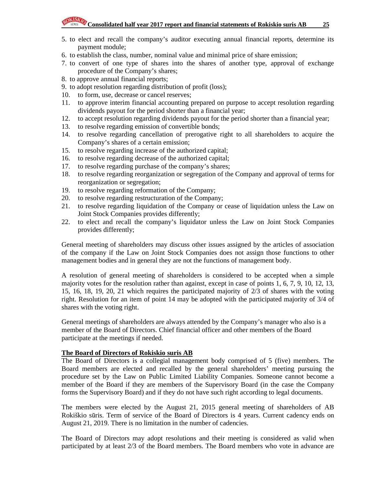# **Consolidated half year 2017 report and financial statements of Rokiskio suris AB** 25

- 5. to elect and recall the company's auditor executing annual financial reports, determine its payment module;
- 6. to establish the class, number, nominal value and minimal price of share emission;
- 7. to convert of one type of shares into the shares of another type, approval of exchange procedure of the Company's shares;
- 8. to approve annual financial reports;
- 9. to adopt resolution regarding distribution of profit (loss);
- 10. to form, use, decrease or cancel reserves;
- 11. to approve interim financial accounting prepared on purpose to accept resolution regarding dividends payout for the period shorter than a financial year;
- 12. to accept resolution regarding dividends payout for the period shorter than a financial year;
- 13. to resolve regarding emission of convertible bonds;
- 14. to resolve regarding cancellation of prerogative right to all shareholders to acquire the Company's shares of a certain emission;
- 15. to resolve regarding increase of the authorized capital;
- 16. to resolve regarding decrease of the authorized capital;
- 17. to resolve regarding purchase of the company's shares;
- 18. to resolve regarding reorganization or segregation of the Company and approval of terms for reorganization or segregation;
- 19. to resolve regarding reformation of the Company;
- 20. to resolve regarding restructuration of the Company;
- 21. to resolve regarding liquidation of the Company or cease of liquidation unless the Law on Joint Stock Companies provides differently;
- 22. to elect and recall the company's liquidator unless the Law on Joint Stock Companies provides differently;

General meeting of shareholders may discuss other issues assigned by the articles of association of the company if the Law on Joint Stock Companies does not assign those functions to other management bodies and in general they are not the functions of management body.

A resolution of general meeting of shareholders is considered to be accepted when a simple majority votes for the resolution rather than against, except in case of points 1, 6, 7, 9, 10, 12, 13, 15, 16, 18, 19, 20, 21 which requires the participated majority of 2/3 of shares with the voting right. Resolution for an item of point 14 may be adopted with the participated majority of 3/4 of shares with the voting right.

General meetings of shareholders are always attended by the Company's manager who also is a member of the Board of Directors. Chief financial officer and other members of the Board participate at the meetings if needed.

### **The Board of Directors of Rokiskio suris AB**

The Board of Directors is a collegial management body comprised of 5 (five) members. The Board members are elected and recalled by the general shareholders' meeting pursuing the procedure set by the Law on Public Limited Liability Companies. Someone cannot become a member of the Board if they are members of the Supervisory Board (in the case the Company forms the Supervisory Board) and if they do not have such right according to legal documents.

The members were elected by the August 21, 2015 general meeting of shareholders of AB Rokiškio sūris. Term of service of the Board of Directors is 4 years. Current cadency ends on August 21, 2019. There is no limitation in the number of cadencies.

The Board of Directors may adopt resolutions and their meeting is considered as valid when participated by at least 2/3 of the Board members. The Board members who vote in advance are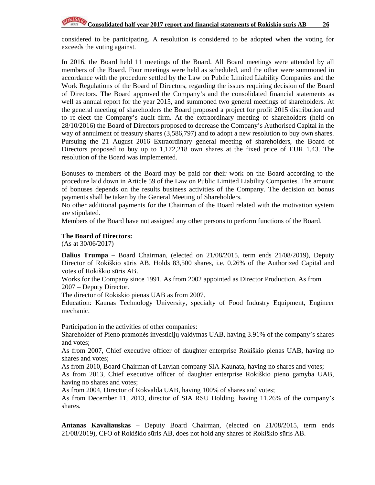considered to be participating. A resolution is considered to be adopted when the voting for exceeds the voting against.

In 2016, the Board held 11 meetings of the Board. All Board meetings were attended by all members of the Board. Four meetings were held as scheduled, and the other were summoned in accordance with the procedure settled by the Law on Public Limited Liability Companies and the Work Regulations of the Board of Directors, regarding the issues requiring decision of the Board of Directors. The Board approved the Company's and the consolidated financial statements as well as annual report for the year 2015, and summoned two general meetings of shareholders. At the general meeting of shareholders the Board proposed a project for profit 2015 distribution and to re-elect the Company's audit firm. At the extraordinary meeting of shareholders (held on 28/10/2016) the Board of Directors proposed to decrease the Company's Authorised Capital in the way of annulment of treasury shares (3,586,797) and to adopt a new resolution to buy own shares. Pursuing the 21 August 2016 Extraordinary general meeting of shareholders, the Board of Directors proposed to buy up to 1,172,218 own shares at the fixed price of EUR 1.43. The resolution of the Board was implemented.

Bonuses to members of the Board may be paid for their work on the Board according to the procedure laid down in Article 59 of the Law on Public Limited Liability Companies. The amount of bonuses depends on the results business activities of the Company. The decision on bonus payments shall be taken by the General Meeting of Shareholders.

No other additional payments for the Chairman of the Board related with the motivation system are stipulated.

Members of the Board have not assigned any other persons to perform functions of the Board.

#### **The Board of Directors:**

(As at 30/06/2017)

**Dalius Trumpa –** Board Chairman, (elected on 21/08/2015, term ends 21/08/2019), Deputy Director of Rokiškio sūris AB. Holds 83,500 shares, i.e. 0.26% of the Authorized Capital and votes of Rokiškio sūris AB.

Works for the Company since 1991. As from 2002 appointed as Director Production. As from 2007 – Deputy Director.

The director of Rokiskio pienas UAB as from 2007.

Education: Kaunas Technology University, specialty of Food Industry Equipment, Engineer mechanic.

Participation in the activities of other companies:

Shareholder of Pieno pramonės investicijų valdymas UAB, having 3.91% of the company's shares and votes;

As from 2007, Chief executive officer of daughter enterprise Rokiškio pienas UAB, having no shares and votes;

As from 2010, Board Chairman of Latvian company SIA Kaunata, having no shares and votes;

As from 2013, Chief executive officer of daughter enterprise Rokiškio pieno gamyba UAB, having no shares and votes;

As from 2004, Director of Rokvalda UAB, having 100% of shares and votes;

As from December 11, 2013, director of SIA RSU Holding, having 11.26% of the company's shares.

**Antanas Kavaliauskas** – Deputy Board Chairman, (elected on 21/08/2015, term ends 21/08/2019), CFO of Rokiškio sūris AB, does not hold any shares of Rokiškio sūris AB.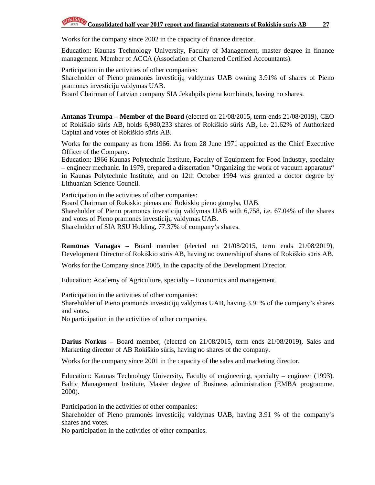Works for the company since 2002 in the capacity of finance director.

Education: Kaunas Technology University, Faculty of Management, master degree in finance management. Member of ACCA (Association of Chartered Certified Accountants).

Participation in the activities of other companies:

Shareholder of Pieno pramonės investicijų valdymas UAB owning 3.91% of shares of Pieno pramonės investicijų valdymas UAB.

Board Chairman of Latvian company SIA Jekabpils piena kombinats, having no shares.

**Antanas Trumpa – Member of the Board** (elected on 21/08/2015, term ends 21/08/2019), CEO of Rokiškio sūris AB, holds 6,980,233 shares of Rokiškio sūris AB, i.e. 21.62% of Authorized Capital and votes of Rokiškio sūris AB.

Works for the company as from 1966. As from 28 June 1971 appointed as the Chief Executive Officer of the Company.

Education: 1966 Kaunas Polytechnic Institute, Faculty of Equipment for Food Industry, specialty – engineer mechanic. In 1979, prepared a dissertation "Organizing the work of vacuum apparatus" in Kaunas Polytechnic Institute, and on 12th October 1994 was granted a doctor degree by Lithuanian Science Council.

Participation in the activities of other companies:

Board Chairman of Rokiskio pienas and Rokiskio pieno gamyba, UAB.

Shareholder of Pieno pramonės investicijų valdymas UAB with 6,758, i.e. 67.04% of the shares and votes of Pieno pramonės investicijų valdymas UAB.

Shareholder of SIA RSU Holding, 77.37% of company's shares.

**Ram**ū**nas Vanagas –** Board member (elected on 21/08/2015, term ends 21/08/2019), Development Director of Rokiškio sūris AB, having no ownership of shares of Rokiškio sūris AB.

Works for the Company since 2005, in the capacity of the Development Director.

Education: Academy of Agriculture, specialty – Economics and management.

Participation in the activities of other companies:

Shareholder of Pieno pramonės investicijų valdymas UAB, having 3.91% of the company's shares and votes.

No participation in the activities of other companies.

**Darius Norkus –** Board member, (elected on 21/08/2015, term ends 21/08/2019), Sales and Marketing director of AB Rokiškio sūris, having no shares of the company.

Works for the company since 2001 in the capacity of the sales and marketing director.

Education: Kaunas Technology University, Faculty of engineering, specialty – engineer (1993). Baltic Management Institute, Master degree of Business administration (EMBA programme, 2000).

Participation in the activities of other companies:

Shareholder of Pieno pramonės investicijų valdymas UAB, having 3.91 % of the company's shares and votes.

No participation in the activities of other companies.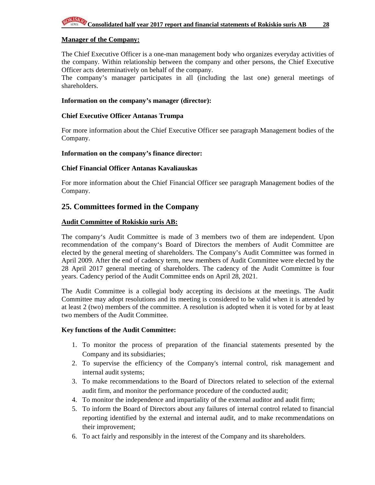#### **Manager of the Company:**

The Chief Executive Officer is a one-man management body who organizes everyday activities of the company. Within relationship between the company and other persons, the Chief Executive Officer acts determinatively on behalf of the company.

The company's manager participates in all (including the last one) general meetings of shareholders.

#### **Information on the company's manager (director):**

#### **Chief Executive Officer Antanas Trumpa**

For more information about the Chief Executive Officer see paragraph Management bodies of the Company.

#### **Information on the company's finance director:**

#### **Chief Financial Officer Antanas Kavaliauskas**

For more information about the Chief Financial Officer see paragraph Management bodies of the Company.

#### **25. Committees formed in the Company**

#### **Audit Committee of Rokiskio suris AB:**

The company's Audit Committee is made of 3 members two of them are independent. Upon recommendation of the company's Board of Directors the members of Audit Committee are elected by the general meeting of shareholders. The Company's Audit Committee was formed in April 2009. After the end of cadency term, new members of Audit Committee were elected by the 28 April 2017 general meeting of shareholders. The cadency of the Audit Committee is four years. Cadency period of the Audit Committee ends on April 28, 2021.

The Audit Committee is a collegial body accepting its decisions at the meetings. The Audit Committee may adopt resolutions and its meeting is considered to be valid when it is attended by at least 2 (two) members of the committee. A resolution is adopted when it is voted for by at least two members of the Audit Committee.

#### **Key functions of the Audit Committee:**

- 1. To monitor the process of preparation of the financial statements presented by the Company and its subsidiaries;
- 2. To supervise the efficiency of the Company's internal control, risk management and internal audit systems;
- 3. To make recommendations to the Board of Directors related to selection of the external audit firm, and monitor the performance procedure of the conducted audit;
- 4. To monitor the independence and impartiality of the external auditor and audit firm;
- 5. To inform the Board of Directors about any failures of internal control related to financial reporting identified by the external and internal audit, and to make recommendations on their improvement;
- 6. To act fairly and responsibly in the interest of the Company and its shareholders.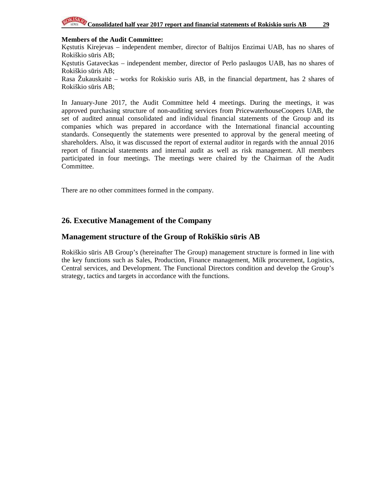

### **Members of the Audit Committee:**

Kęstutis Kirejevas – independent member, director of Baltijos Enzimai UAB, has no shares of Rokiškio sūris AB;

Kęstutis Gataveckas – independent member, director of Perlo paslaugos UAB, has no shares of Rokiškio sūris AB;

Rasa Žukauskaitė – works for Rokiskio suris AB, in the financial department, has 2 shares of Rokiškio sūris AB;

In January-June 2017, the Audit Committee held 4 meetings. During the meetings, it was approved purchasing structure of non-auditing services from PricewaterhouseCoopers UAB, the set of audited annual consolidated and individual financial statements of the Group and its companies which was prepared in accordance with the International financial accounting standards. Consequently the statements were presented to approval by the general meeting of shareholders. Also, it was discussed the report of external auditor in regards with the annual 2016 report of financial statements and internal audit as well as risk management. All members participated in four meetings. The meetings were chaired by the Chairman of the Audit Committee.

There are no other committees formed in the company.

### **26. Executive Management of the Company**

### **Management structure of the Group of Rokiškio s**ū**ris AB**

Rokiškio sūris AB Group's (hereinafter The Group) management structure is formed in line with the key functions such as Sales, Production, Finance management, Milk procurement, Logistics, Central services, and Development. The Functional Directors condition and develop the Group's strategy, tactics and targets in accordance with the functions.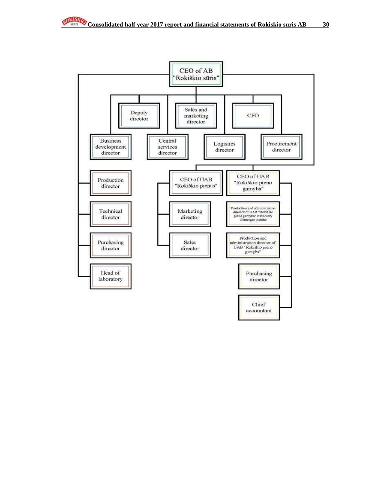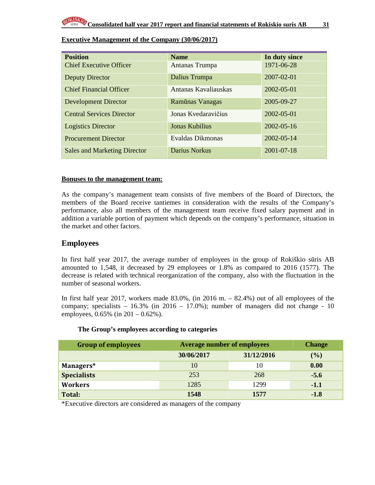| <b>Position</b>                     | <b>Name</b>           | In duty since    |
|-------------------------------------|-----------------------|------------------|
| <b>Chief Executive Officer</b>      | Antanas Trumpa        | 1971-06-28       |
| <b>Deputy Director</b>              | Dalius Trumpa         | 2007-02-01       |
| <b>Chief Financial Officer</b>      | Antanas Kavaliauskas  | 2002-05-01       |
| <b>Development Director</b>         | Ramūnas Vanagas       | 2005-09-27       |
| <b>Central Services Director</b>    | Jonas Kvedaravičius   | 2002-05-01       |
| <b>Logistics Director</b>           | <b>Jonas Kubilius</b> | $2002 - 05 - 16$ |
| <b>Procurement Director</b>         | Evaldas Dikmonas      | 2002-05-14       |
| <b>Sales and Marketing Director</b> | Darius Norkus         | 2001-07-18       |

### **Executive Management of the Company (30/06/2017)**

#### **Bonuses to the management team:**

As the company's management team consists of five members of the Board of Directors, the members of the Board receive tantiemes in consideration with the results of the Company's performance, also all members of the management team receive fixed salary payment and in addition a variable portion of payment which depends on the company's performance, situation in the market and other factors.

### **Employees**

In first half year 2017, the average number of employees in the group of Rokiškio sūris AB amounted to 1,548, it decreased by 29 employees or 1.8% as compared to 2016 (1577). The decrease is related with technical reorganization of the company, also with the fluctuation in the number of seasonal workers.

In first half year 2017, workers made  $83.0\%$ , (in 2016 m.  $- 82.4\%$ ) out of all employees of the company; specialists  $-16.3\%$  (in 2016  $-17.0\%$ ); number of managers did not change - 10 employees, 0.65% (in 201 – 0.62%).

| <b>Group of employees</b> | <b>Average number of employees</b> | <b>Change</b> |        |
|---------------------------|------------------------------------|---------------|--------|
|                           | 30/06/2017                         | 31/12/2016    | $(\%)$ |
| Managers*                 | 10                                 | 10            | 0.00   |
| <b>Specialists</b>        | 253                                | 268           | $-5.6$ |
| <b>Workers</b>            | 1285                               | 1299          | $-1.1$ |
| Total:                    | 1548                               | 1577          | $-1.8$ |

#### **The Group's employees according to categories**

\*Executive directors are considered as managers of the company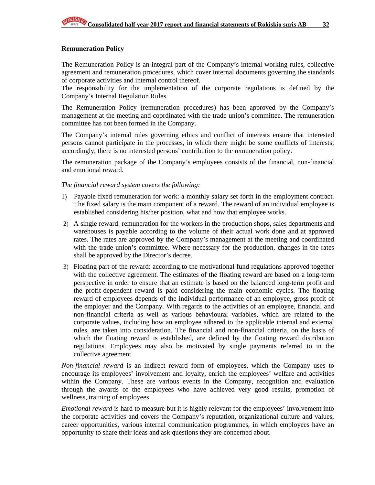#### **Remuneration Policy**

The Remuneration Policy is an integral part of the Company's internal working rules, collective agreement and remuneration procedures, which cover internal documents governing the standards of corporate activities and internal control thereof.

The responsibility for the implementation of the corporate regulations is defined by the Company's Internal Regulation Rules.

The Remuneration Policy (remuneration procedures) has been approved by the Company's management at the meeting and coordinated with the trade union's committee. The remuneration committee has not been formed in the Company.

The Company's internal rules governing ethics and conflict of interests ensure that interested persons cannot participate in the processes, in which there might be some conflicts of interests; accordingly, there is no interested persons' contribution to the remuneration policy.

The remuneration package of the Company's employees consists of the financial, non-financial and emotional reward.

#### *The financial reward system covers the following:*

- 1) Payable fixed remuneration for work: a monthly salary set forth in the employment contract. The fixed salary is the main component of a reward. The reward of an individual employee is established considering his/her position, what and how that employee works.
- 2) A single reward: remuneration for the workers in the production shops, sales departments and warehouses is payable according to the volume of their actual work done and at approved rates. The rates are approved by the Company's management at the meeting and coordinated with the trade union's committee. Where necessary for the production, changes in the rates shall be approved by the Director's decree.
- 3) Floating part of the reward: according to the motivational fund regulations approved together with the collective agreement. The estimates of the floating reward are based on a long-term perspective in order to ensure that an estimate is based on the balanced long-term profit and the profit-dependent reward is paid considering the main economic cycles. The floating reward of employees depends of the individual performance of an employee, gross profit of the employer and the Company. With regards to the activities of an employee, financial and non-financial criteria as well as various behavioural variables, which are related to the corporate values, including how an employee adhered to the applicable internal and external rules, are taken into consideration. The financial and non-financial criteria, on the basis of which the floating reward is established, are defined by the floating reward distribution regulations. Employees may also be motivated by single payments referred to in the collective agreement.

*Non-financial reward* is an indirect reward form of employees, which the Company uses to encourage its employees' involvement and loyalty, enrich the employees' welfare and activities within the Company. These are various events in the Company, recognition and evaluation through the awards of the employees who have achieved very good results, promotion of wellness, training of employees.

*Emotional reward* is hard to measure but it is highly relevant for the employees' involvement into the corporate activities and covers the Company's reputation, organizational culture and values, career opportunities, various internal communication programmes, in which employees have an opportunity to share their ideas and ask questions they are concerned about.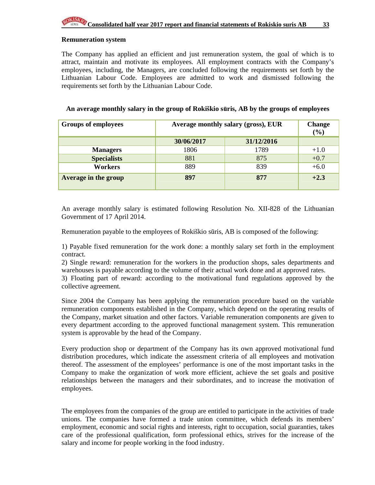#### **Remuneration system**

The Company has applied an efficient and just remuneration system, the goal of which is to attract, maintain and motivate its employees. All employment contracts with the Company's employees, including, the Managers, are concluded following the requirements set forth by the Lithuanian Labour Code. Employees are admitted to work and dismissed following the requirements set forth by the Lithuanian Labour Code.

| <b>Groups of employees</b> | Average monthly salary (gross), EUR | <b>Change</b><br>$(\%)$ |        |
|----------------------------|-------------------------------------|-------------------------|--------|
|                            | 30/06/2017                          | 31/12/2016              |        |
| <b>Managers</b>            | 1806                                | 1789                    | $+1.0$ |
| <b>Specialists</b>         | 881                                 | 875                     | $+0.7$ |
| <b>Workers</b>             | 889                                 | 839                     | $+6.0$ |
| Average in the group       | 897                                 | 877                     | $+2.3$ |

#### **An average monthly salary in the group of Rokiškio s**ū**ris, AB by the groups of employees**

An average monthly salary is estimated following Resolution No. XII-828 of the Lithuanian Government of 17 April 2014.

Remuneration payable to the employees of Rokiškio sūris, AB is composed of the following:

1) Payable fixed remuneration for the work done: a monthly salary set forth in the employment contract.

2) Single reward: remuneration for the workers in the production shops, sales departments and warehouses is payable according to the volume of their actual work done and at approved rates.

3) Floating part of reward: according to the motivational fund regulations approved by the collective agreement.

Since 2004 the Company has been applying the remuneration procedure based on the variable remuneration components established in the Company, which depend on the operating results of the Company, market situation and other factors. Variable remuneration components are given to every department according to the approved functional management system. This remuneration system is approvable by the head of the Company.

Every production shop or department of the Company has its own approved motivational fund distribution procedures, which indicate the assessment criteria of all employees and motivation thereof. The assessment of the employees' performance is one of the most important tasks in the Company to make the organization of work more efficient, achieve the set goals and positive relationships between the managers and their subordinates, and to increase the motivation of employees.

The employees from the companies of the group are entitled to participate in the activities of trade unions. The companies have formed a trade union committee, which defends its members' employment, economic and social rights and interests, right to occupation, social guaranties, takes care of the professional qualification, form professional ethics, strives for the increase of the salary and income for people working in the food industry.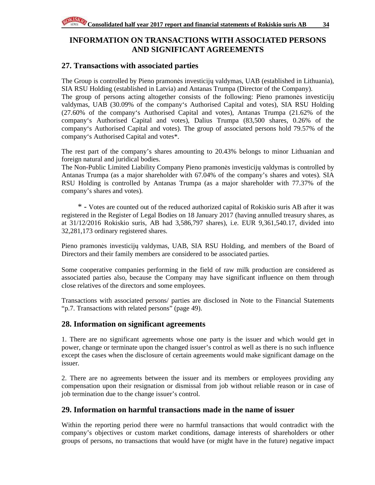### **INFORMATION ON TRANSACTIONS WITH ASSOCIATED PERSONS AND SIGNIFICANT AGREEMENTS**

### **27. Transactions with associated parties**

The Group is controlled by Pieno pramonės investicijų valdymas, UAB (established in Lithuania), SIA RSU Holding (established in Latvia) and Antanas Trumpa (Director of the Company).

The group of persons acting altogether consists of the following: Pieno pramonės investicijų valdymas, UAB (30.09% of the company's Authorised Capital and votes), SIA RSU Holding (27.60% of the company's Authorised Capital and votes), Antanas Trumpa (21.62% of the company's Authorised Capital and votes), Dalius Trumpa (83,500 shares, 0.26% of the company's Authorised Capital and votes). The group of associated persons hold 79.57% of the company's Authorised Capital and votes\*.

The rest part of the company's shares amounting to 20.43% belongs to minor Lithuanian and foreign natural and juridical bodies.

The Non-Public Limited Liability Company Pieno pramonės investicijų valdymas is controlled by Antanas Trumpa (as a major shareholder with 67.04% of the company's shares and votes). SIA RSU Holding is controlled by Antanas Trumpa (as a major shareholder with 77.37% of the company's shares and votes).

\* - Votes are counted out of the reduced authorized capital of Rokiskio suris AB after it was registered in the Register of Legal Bodies on 18 January 2017 (having annulled treasury shares, as at 31/12/2016 Rokiskio suris, AB had 3,586,797 shares), i.e. EUR 9,361,540.17, divided into 32,281,173 ordinary registered shares.

Pieno pramonės investicijų valdymas, UAB, SIA RSU Holding, and members of the Board of Directors and their family members are considered to be associated parties.

Some cooperative companies performing in the field of raw milk production are considered as associated parties also, because the Company may have significant influence on them through close relatives of the directors and some employees.

Transactions with associated persons/ parties are disclosed in Note to the Financial Statements "p.7. Transactions with related persons" (page 49).

### **28. Information on significant agreements**

1. There are no significant agreements whose one party is the issuer and which would get in power, change or terminate upon the changed issuer's control as well as there is no such influence except the cases when the disclosure of certain agreements would make significant damage on the issuer.

2. There are no agreements between the issuer and its members or employees providing any compensation upon their resignation or dismissal from job without reliable reason or in case of job termination due to the change issuer's control.

### **29. Information on harmful transactions made in the name of issuer**

Within the reporting period there were no harmful transactions that would contradict with the company's objectives or custom market conditions, damage interests of shareholders or other groups of persons, no transactions that would have (or might have in the future) negative impact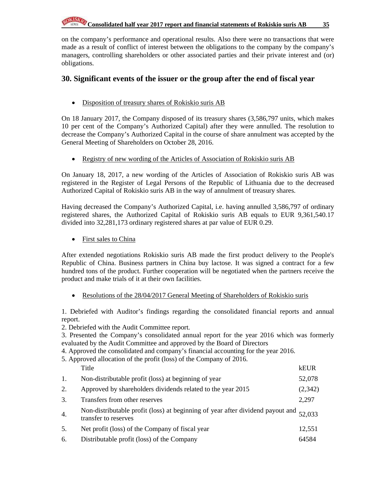on the company's performance and operational results. Also there were no transactions that were made as a result of conflict of interest between the obligations to the company by the company's managers, controlling shareholders or other associated parties and their private interest and (or) obligations.

### **30. Significant events of the issuer or the group after the end of fiscal year**

• Disposition of treasury shares of Rokiskio suris AB

On 18 January 2017, the Company disposed of its treasury shares (3,586,797 units, which makes 10 per cent of the Company's Authorized Capital) after they were annulled. The resolution to decrease the Company's Authorized Capital in the course of share annulment was accepted by the General Meeting of Shareholders on October 28, 2016.

• Registry of new wording of the Articles of Association of Rokiskio suris AB

On January 18, 2017, a new wording of the Articles of Association of Rokiskio suris AB was registered in the Register of Legal Persons of the Republic of Lithuania due to the decreased Authorized Capital of Rokiskio suris AB in the way of annulment of treasury shares.

Having decreased the Company's Authorized Capital, i.e. having annulled 3,586,797 of ordinary registered shares, the Authorized Capital of Rokiskio suris AB equals to EUR 9,361,540.17 divided into 32,281,173 ordinary registered shares at par value of EUR 0.29.

• First sales to China

After extended negotiations Rokiskio suris AB made the first product delivery to the People's Republic of China. Business partners in China buy lactose. It was signed a contract for a few hundred tons of the product. Further cooperation will be negotiated when the partners receive the product and make trials of it at their own facilities.

• Resolutions of the 28/04/2017 General Meeting of Shareholders of Rokiskio suris

1. Debriefed with Auditor's findings regarding the consolidated financial reports and annual report.

2. Debriefed with the Audit Committee report.

3. Presented the Company's consolidated annual report for the year 2016 which was formerly evaluated by the Audit Committee and approved by the Board of Directors

- 4. Approved the consolidated and company's financial accounting for the year 2016.
- 5. Approved allocation of the profit (loss) of the Company of 2016.

|    | Title                                                                                                  | kEUR    |
|----|--------------------------------------------------------------------------------------------------------|---------|
| 1. | Non-distributable profit (loss) at beginning of year                                                   | 52,078  |
| 2. | Approved by shareholders dividends related to the year 2015                                            | (2,342) |
| 3. | Transfers from other reserves                                                                          | 2,297   |
| 4. | Non-distributable profit (loss) at beginning of year after dividend payout and<br>transfer to reserves | 52,033  |
| 5. | Net profit (loss) of the Company of fiscal year                                                        | 12,551  |
| 6. | Distributable profit (loss) of the Company                                                             | 64584   |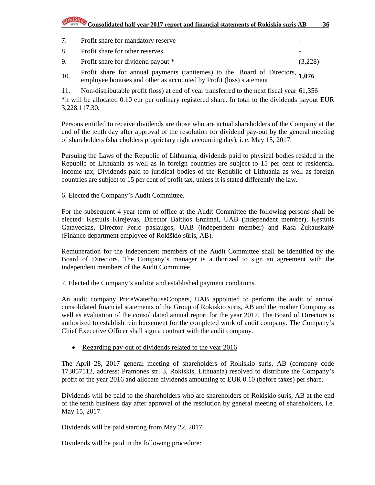# **Consolidated half year 2017 report and financial statements of Rokiskio suris AB** 36

- 7. Profit share for mandatory reserve
- 8. Profit share for other reserves
- 9. Profit share for dividend payout \* (3,228)
- 10. Profit share for annual payments (tantiemes) to the Board of Directors, employee bonuses and other as accounted by Profit (loss) statement **1,076**
- 11. Non-distributable profit (loss) at end of year transferred to the next fiscal year 61,356

\*it will be allocated 0.10 eur per ordinary registered share. In total to the dividends payout EUR 3,228,117.30.

Persons entitled to receive dividends are those who are actual shareholders of the Company at the end of the tenth day after approval of the resolution for dividend pay-out by the general meeting of shareholders (shareholders proprietary right accounting day), i. e. May 15, 2017.

Pursuing the Laws of the Republic of Lithuania, dividends paid to physical bodies resided in the Republic of Lithuania as well as in foreign countries are subject to 15 per cent of residential income tax; Dividends paid to juridical bodies of the Republic of Lithuania as well as foreign countries are subject to 15 per cent of profit tax, unless it is stated differently the law.

6. Elected the Company's Audit Committee.

For the subsequent 4 year term of office at the Audit Committee the following persons shall be elected: Kęstutis Kirejevas, Director Baltijos Enzimai, UAB (independent member), Kęstutis Gataveckas, Director Perlo paslaugos, UAB (independent member) and Rasa Žukauskaitė (Finance department employee of Rokiškio sūris, AB).

Remuneration for the independent members of the Audit Committee shall be identified by the Board of Directors. The Company's manager is authorized to sign an agreement with the independent members of the Audit Committee.

7. Elected the Company's auditor and established payment conditions.

An audit company PriceWaterhouseCoopers, UAB appointed to perform the audit of annual consolidated financial statements of the Group of Rokiskio suris, AB and the mother Company as well as evaluation of the consolidated annual report for the year 2017. The Board of Directors is authorized to establish reimbursement for the completed work of audit company. The Company's Chief Executive Officer shall sign a contract with the audit company.

• Regarding pay-out of dividends related to the year 2016

The April 28, 2017 general meeting of shareholders of Rokiskio suris, AB (company code 173057512, address: Pramones str. 3, Rokiskis, Lithuania) resolved to distribute the Company's profit of the year 2016 and allocate dividends amounting to EUR 0.10 (before taxes) per share.

Dividends will be paid to the shareholders who are shareholders of Rokiskio suris, AB at the end of the tenth business day after approval of the resolution by general meeting of shareholders, i.e. May 15, 2017.

Dividends will be paid starting from May 22, 2017.

Dividends will be paid in the following procedure: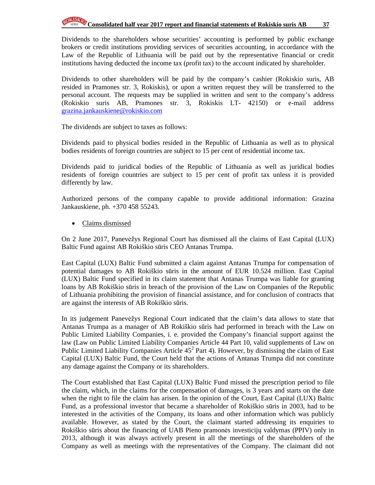Dividends to the shareholders whose securities' accounting is performed by public exchange brokers or credit institutions providing services of securities accounting, in accordance with the Law of the Republic of Lithuania will be paid out by the representative financial or credit institutions having deducted the income tax (profit tax) to the account indicated by shareholder.

Dividends to other shareholders will be paid by the company's cashier (Rokiskio suris, AB resided in Pramones str. 3, Rokiskis), or upon a written request they will be transferred to the personal account. The requests may be supplied in written and sent to the company's address (Rokiskio suris AB, Pramones str. 3, Rokiskis LT- 42150) or e-mail address grazina.jankauskiene@rokiskio.com

The dividends are subject to taxes as follows:

Dividends paid to physical bodies resided in the Republic of Lithuania as well as to physical bodies residents of foreign countries are subject to 15 per cent of residential income tax.

Dividends paid to juridical bodies of the Republic of Lithuania as well as juridical bodies residents of foreign countries are subject to 15 per cent of profit tax unless it is provided differently by law.

Authorized persons of the company capable to provide additional information: Grazina Jankauskiene, ph. +370 458 55243.

• Claims dismissed

On 2 June 2017, Panevėžys Regional Court has dismissed all the claims of East Capital (LUX) Baltic Fund against AB Rokiškio sūris CEO Antanas Trumpa.

East Capital (LUX) Baltic Fund submitted a claim against Antanas Trumpa for compensation of potential damages to AB Rokiškio sūris in the amount of EUR 10.524 million. East Capital (LUX) Baltic Fund specified in its claim statement that Antanas Trumpa was liable for granting loans by AB Rokiškio sūris in breach of the provision of the Law on Companies of the Republic of Lithuania prohibiting the provision of financial assistance, and for conclusion of contracts that are against the interests of AB Rokiškio sūris.

In its judgement Panevėžys Regional Court indicated that the claim's data allows to state that Antanas Trumpa as a manager of AB Rokiškio sūris had performed in breach with the Law on Public Limited Liability Companies, i. e. provided the Company's financial support against the law (Law on Public Limited Liability Companies Article 44 Part 10, valid supplements of Law on Public Limited Liability Companies Article  $45^2$  Part 4). However, by dismissing the claim of East Capital (LUX) Baltic Fund, the Court held that the actions of Antanas Trumpa did not constitute any damage against the Company or its shareholders.

The Court established that East Capital (LUX) Baltic Fund missed the prescription period to file the claim, which, in the claims for the compensation of damages, is 3 years and starts on the date when the right to file the claim has arisen. In the opinion of the Court, East Capital (LUX) Baltic Fund, as a professional investor that became a shareholder of Rokiškio sūris in 2003, had to be interested in the activities of the Company, its loans and other information which was publicly available. However, as stated by the Court, the claimant started addressing its enquiries to Rokiškio sūris about the financing of UAB Pieno pramonės investicijų valdymas (PPIV) only in 2013, although it was always actively present in all the meetings of the shareholders of the Company as well as meetings with the representatives of the Company. The claimant did not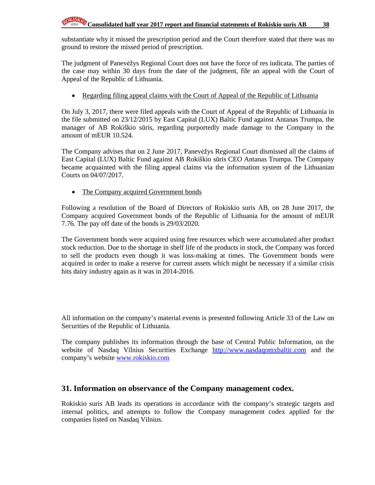substantiate why it missed the prescription period and the Court therefore stated that there was no ground to restore the missed period of prescription.

The judgment of Panevėžys Regional Court does not have the force of res iudicata. The parties of the case may within 30 days from the date of the judgment, file an appeal with the Court of Appeal of the Republic of Lithuania.

• Regarding filing appeal claims with the Court of Appeal of the Republic of Lithuania

On July 3, 2017, there were filed appeals with the Court of Appeal of the Republic of Lithuania in the file submitted on 23/12/2015 by East Capital (LUX) Baltic Fund against Antanas Trumpa, the manager of AB Rokiškio sūris, regarding purportedly made damage to the Company in the amount of mEUR 10.524.

The Company advises that on 2 June 2017, Panevėžys Regional Court dismissed all the claims of East Capital (LUX) Baltic Fund against AB Rokiškio sūris CEO Antanas Trumpa. The Company became acquainted with the filing appeal claims via the information system of the Lithuanian Courts on 04/07/2017.

• The Company acquired Government bonds

Following a resolution of the Board of Directors of Rokiskio suris AB, on 28 June 2017, the Company acquired Government bonds of the Republic of Lithuania for the amount of mEUR 7.76. The pay off date of the bonds is 29/03/2020.

The Government bonds were acquired using free resources which were accumulated after product stock reduction. Due to the shortage in shelf life of the products in stock, the Company was forced to sell the products even though it was loss-making at times. The Government bonds were acquired in order to make a reserve for current assets which might be necessary if a similar crisis hits dairy industry again as it was in 2014-2016.

All information on the company's material events is presented following Article 33 of the Law on Securities of the Republic of Lithuania.

The company publishes its information through the base of Central Public Information, on the website of Nasdaq Vilnius Securities Exchange http://www.nasdaqomxbaltic.com and the company's website www.rokiskio.com

### **31. Information on observance of the Company management codex.**

Rokiskio suris AB leads its operations in accordance with the company's strategic targets and internal politics, and attempts to follow the Company management codex applied for the companies listed on Nasdaq Vilnius.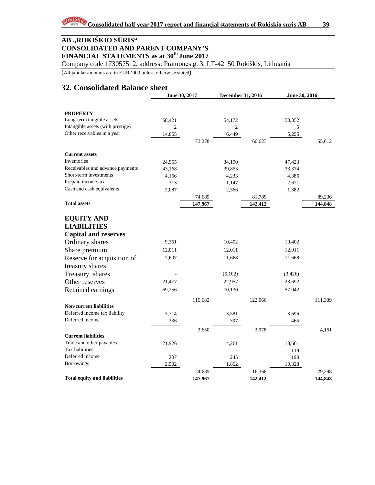Company code 173057512, address: Pramonės g. 3, LT-42150 Rokiškis, Lithuania

(All tabular amounts are in EUR '000 unless otherwise stated)

### **32. Consolidated Balance sheet**

|                                     | June 30, 2017  |         | December 31, 2016 |         | June 30, 2016 |         |
|-------------------------------------|----------------|---------|-------------------|---------|---------------|---------|
|                                     |                |         |                   |         |               |         |
| <b>PROPERTY</b>                     |                |         |                   |         |               |         |
| Long-term tangible assets           | 58,421         |         | 54,172            |         | 50,352        |         |
| Intangible assets (with prestige)   | $\overline{c}$ |         | $\overline{c}$    |         | 5             |         |
| Other receivables in a year         | 14,855         |         | 6,449             |         | 5,255         |         |
|                                     |                | 73,278  |                   | 60,623  |               | 55,612  |
| <b>Current assets</b>               |                |         |                   |         |               |         |
| Inventories                         | 24,955         |         | 34,190            |         | 47,423        |         |
| Receivables and advance payments    | 43,168         |         | 39,853            |         | 33,374        |         |
| Short-term investments              | 4,166          |         | 4,233             |         | 4,386         |         |
| Prepaid income tax                  | 313            |         | 1,147             |         | 2,671         |         |
| Cash and cash equivalents           | 2,087          |         | 2,366             |         | 1,382         |         |
|                                     |                | 74,689  |                   | 81,789  |               | 89,236  |
| <b>Total assets</b>                 |                | 147,967 |                   | 142,412 |               | 144,848 |
|                                     |                |         |                   |         |               |         |
| <b>EQUITY AND</b>                   |                |         |                   |         |               |         |
| <b>LIABILITIES</b>                  |                |         |                   |         |               |         |
| <b>Capital and reserves</b>         |                |         |                   |         |               |         |
| Ordinary shares                     | 9,361          |         | 10,402            |         | 10,402        |         |
| Share premium                       | 12,011         |         | 12,011            |         | 12,011        |         |
| Reserve for acquisition of          | 7,607          |         | 11,668            |         | 11,668        |         |
| treasury shares                     |                |         |                   |         |               |         |
| Treasury shares                     |                |         | (5,102)           |         | (3, 426)      |         |
| Other reserves                      | 21,477         |         | 22,957            |         | 23,692        |         |
| Retained earnings                   | 69,256         |         | 70,130            |         | 57,042        |         |
|                                     |                | 119,682 |                   | 122,066 |               | 111,389 |
| <b>Non-current liabilities</b>      |                |         |                   |         |               |         |
| Deferred income tax liability       | 3,314          |         | 3,581             |         | 3,696         |         |
| Deferred income                     | 336            |         | 397               |         | 465           |         |
|                                     |                | 3,650   |                   | 3,978   |               | 4,161   |
| <b>Current liabilities</b>          |                |         |                   |         |               |         |
| Trade and other payables            | 21,926         |         | 14,261            |         | 18,661        |         |
| Tax liabilities                     |                |         |                   |         | 119           |         |
| Deferred income                     | 207            |         | 245               |         | 190           |         |
| <b>Borrowings</b>                   | 2,502          |         | 1,862             |         | 10,328        |         |
|                                     |                | 24,635  |                   | 16,368  |               | 29,298  |
| <b>Total equity and liabilities</b> |                | 147,967 |                   | 142,412 |               | 144,848 |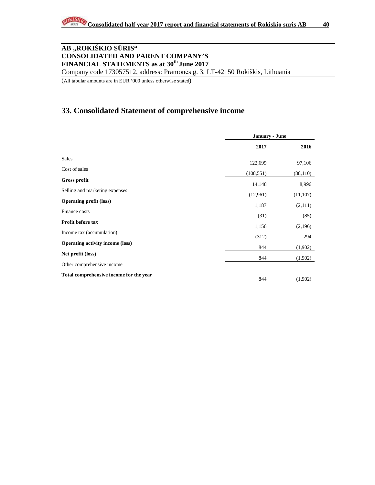Company code 173057512, address: Pramonės g. 3, LT-42150 Rokiškis, Lithuania

(All tabular amounts are in EUR '000 unless otherwise stated)

### **33. Consolidated Statement of comprehensive income**

|                                         | <b>January - June</b> |           |
|-----------------------------------------|-----------------------|-----------|
|                                         | 2017                  | 2016      |
| Sales                                   | 122,699               | 97,106    |
| Cost of sales                           | (108, 551)            | (88, 110) |
| <b>Gross profit</b>                     | 14,148                | 8,996     |
| Selling and marketing expenses          | (12,961)              | (11, 107) |
| <b>Operating profit (loss)</b>          | 1,187                 | (2,111)   |
| Finance costs                           | (31)                  | (85)      |
| Profit before tax                       | 1,156                 | (2,196)   |
| Income tax (accumulation)               | (312)                 | 294       |
| <b>Operating activity income (loss)</b> | 844                   | (1,902)   |
| Net profit (loss)                       | 844                   | (1,902)   |
| Other comprehensive income              |                       |           |
| Total comprehensive income for the year | 844                   | (1,902)   |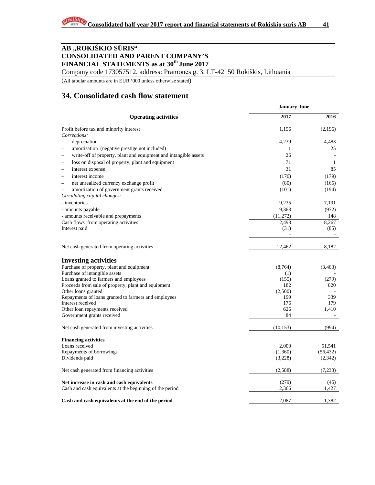Company code 173057512, address: Pramonės g. 3, LT-42150 Rokiškis, Lithuania

(All tabular amounts are in EUR '000 unless otherwise stated)

### **34. Consolidated cash flow statement**

|                                                                     | <b>January-June</b> |           |  |  |
|---------------------------------------------------------------------|---------------------|-----------|--|--|
| <b>Operating activities</b>                                         | 2017                | 2016      |  |  |
| Profit before tax and minority interest                             | 1,156               | (2,196)   |  |  |
| Corrections:                                                        |                     |           |  |  |
| depreciation<br>$\overline{\phantom{0}}$                            | 4,239               | 4,483     |  |  |
| amortisation (negative prestige not included)<br>-                  | -1                  | 25        |  |  |
| write-off of property, plant and equipment and intangible assets    | 26                  |           |  |  |
| loss on disposal of property, plant and equipment                   | 71                  | 1         |  |  |
| interest expense<br>-                                               | 31                  | 85        |  |  |
| interest income<br>$\overline{\phantom{a}}$                         | (176)               | (179)     |  |  |
| net unrealized currency exchange profit<br>$\overline{\phantom{a}}$ | (80)                | (165)     |  |  |
| amortization of government grants received                          | (101)               | (194)     |  |  |
| Circulating capital changes:                                        |                     |           |  |  |
| - inventories                                                       | 9,235               | 7,191     |  |  |
| - amounts payable                                                   | 9,363               | (932)     |  |  |
| - amounts receivable and prepayments                                | (11,272)            | 148       |  |  |
| Cash flows from operating activities                                | 12,493              | 8,267     |  |  |
| Interest paid                                                       | (31)                | (85)      |  |  |
|                                                                     |                     |           |  |  |
| Net cash generated from operating activities                        | 12,462              | 8,182     |  |  |
| <b>Investing activities</b>                                         |                     |           |  |  |
| Purchase of property, plant and equipment                           | (8,764)             | (3, 463)  |  |  |
| Purchase of intangible assets                                       | (1)                 |           |  |  |
| Loans granted to farmers and employees                              | (155)               | (279)     |  |  |
| Proceeds from sale of property, plant and equipment                 | 182                 | 820       |  |  |
| Other loans granted                                                 | (2,500)             |           |  |  |
| Repayments of loans granted to farmers and employees                | 199                 | 339       |  |  |
| Interest received                                                   | 176                 | 179       |  |  |
| Other loan repayments received                                      | 626                 | 1,410     |  |  |
| Government grants received                                          | 84                  |           |  |  |
| Net cash generated from investing activities                        | (10, 153)           | (994)     |  |  |
| <b>Financing activities</b>                                         |                     |           |  |  |
| Loans received                                                      | 2,000               | 51,541    |  |  |
| Repayments of borrowings                                            | (1,360)             | (56, 432) |  |  |
| Dividends paid                                                      | (3,228)             | (2,342)   |  |  |
| Net cash generated from financing activities                        | (2,588)             | (7,233)   |  |  |
|                                                                     |                     |           |  |  |
| Net increase in cash and cash equivalents                           | (279)               | (45)      |  |  |
| Cash and cash equivalents at the beginning of the period            | 2,366               | 1,427     |  |  |
| Cash and cash equivalents at the end of the period                  | 2,087               | 1,382     |  |  |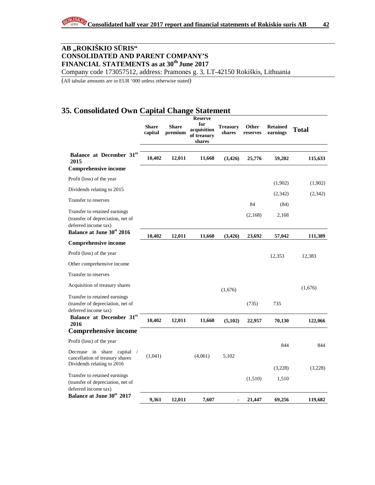Company code 173057512, address: Pramonės g. 3, LT-42150 Rokiškis, Lithuania

(All tabular amounts are in EUR '000 unless otherwise stated)

### **35. Consolidated Own Capital Change Statement**

|                                                                                              | <b>Share</b><br>capital | <b>Share</b><br>premium | <b>Reserve</b><br>for<br>acquisition<br>of treasury<br>shares | <b>Treasury</b><br>shares | Other<br>reserves | <b>Retained</b><br>earnings | <b>Total</b> |
|----------------------------------------------------------------------------------------------|-------------------------|-------------------------|---------------------------------------------------------------|---------------------------|-------------------|-----------------------------|--------------|
| Balance at December 31st<br>2015                                                             | 10,402                  | 12,011                  | 11,668                                                        | (3,426)                   | 25,776            | 59,202                      | 115,633      |
| <b>Comprehensive income</b>                                                                  |                         |                         |                                                               |                           |                   |                             |              |
| Profit (loss) of the year                                                                    |                         |                         |                                                               |                           |                   | (1,902)                     | (1,902)      |
| Dividends relating to 2015                                                                   |                         |                         |                                                               |                           |                   | (2, 342)                    | (2,342)      |
| Transfer to reserves                                                                         |                         |                         |                                                               |                           | 84                | (84)                        |              |
| Transfer to retained earnings<br>(transfer of depreciation, net of<br>deferred income tax)   |                         |                         |                                                               |                           | (2,168)           | 2,168                       |              |
| Balance at June 30 <sup>st</sup> 2016                                                        | 10,402                  | 12,011                  | 11,668                                                        | (3,426)                   | 23,692            | 57,042                      | 111,389      |
| <b>Comprehensive income</b>                                                                  |                         |                         |                                                               |                           |                   |                             |              |
| Profit (loss) of the year                                                                    |                         |                         |                                                               |                           |                   | 12,353                      | 12,383       |
| Other comprehensive income                                                                   |                         |                         |                                                               |                           |                   |                             |              |
| Transfer to reserves                                                                         |                         |                         |                                                               |                           |                   |                             |              |
| Acquisition of treasury shares                                                               |                         |                         |                                                               | (1,676)                   |                   |                             | (1,676)      |
| Transfer to retained earnings<br>(transfer of depreciation, net of<br>deferred income tax)   |                         |                         |                                                               |                           | (735)             | 735                         |              |
| Balance at December 31st<br>2016                                                             | 10,402                  | 12,011                  | 11,668                                                        | (5,102)                   | 22,957            | 70,130                      | 122,066      |
| <b>Comprehensive income</b>                                                                  |                         |                         |                                                               |                           |                   |                             |              |
| Profit (loss) of the year                                                                    |                         |                         |                                                               |                           |                   | 844                         | 844          |
| Decrease in share capital /<br>cancellation of treasury shares<br>Dividends relating to 2016 | (1,041)                 |                         | (4,061)                                                       | 5,102                     |                   |                             |              |
|                                                                                              |                         |                         |                                                               |                           |                   | (3,228)                     | (3,228)      |
| Transfer to retained earnings<br>(transfer of depreciation, net of<br>deferred income tax)   |                         |                         |                                                               |                           | (1,510)           | 1,510                       |              |
| Balance at June 30 <sup>st</sup> 2017                                                        | 9.361                   | 12.011                  | 7,607                                                         |                           | 21,447            | 69,256                      | 119,682      |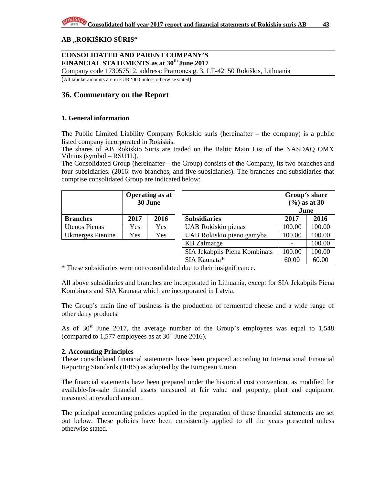#### **AB "ROKIŠKIO S**Ū**RIS"**

#### **CONSOLIDATED AND PARENT COMPANY'S FINANCIAL STATEMENTS as at 30th June 2017**

Company code 173057512, address: Pramonės g. 3, LT-42150 Rokiškis, Lithuania

(All tabular amounts are in EUR '000 unless otherwise stated)

### **36. Commentary on the Report**

#### **1. General information**

The Public Limited Liability Company Rokiskio suris (hereinafter – the company) is a public listed company incorporated in Rokiskis.

The shares of AB Rokiskio Suris are traded on the Baltic Main List of the NASDAQ OMX Vilnius (symbol – RSU1L).

The Consolidated Group (hereinafter – the Group) consists of the Company, its two branches and four subsidiaries. (2016: two branches, and five subsidiaries). The branches and subsidiaries that comprise consolidated Group are indicated below:

|                      |      | <b>Operating as at</b><br>30 June |                               |        | Group's share<br>$(\frac{9}{6})$ as at 30<br>June |
|----------------------|------|-----------------------------------|-------------------------------|--------|---------------------------------------------------|
| <b>Branches</b>      | 2017 | 2016                              | <b>Subsidiaries</b>           | 2017   | 2016                                              |
| <b>Utenos Pienas</b> | Yes  | Yes                               | UAB Rokiskio pienas           | 100.00 | 100.00                                            |
| Ukmerges Pienine     | Yes  | Yes                               | UAB Rokiskio pieno gamyba     | 100.00 | 100.00                                            |
|                      |      |                                   | <b>KB</b> Zalmarge            |        | 100.00                                            |
|                      |      |                                   | SIA Jekabpils Piena Kombinats | 100.00 | 100.00                                            |

\* These subsidiaries were not consolidated due to their insignificance.

All above subsidiaries and branches are incorporated in Lithuania, except for SIA Jekabpils Piena Kombinats and SIA Kaunata which are incorporated in Latvia.

SIA Kaunata\* 60.00 60.00

The Group's main line of business is the production of fermented cheese and a wide range of other dairy products.

As of  $30<sup>st</sup>$  June 2017, the average number of the Group's employees was equal to 1,548 (compared to 1,577 employees as at  $30<sup>st</sup>$  June 2016).

#### **2. Accounting Principles**

These consolidated financial statements have been prepared according to International Financial Reporting Standards (IFRS) as adopted by the European Union.

The financial statements have been prepared under the historical cost convention, as modified for available-for-sale financial assets measured at fair value and property, plant and equipment measured at revalued amount.

The principal accounting policies applied in the preparation of these financial statements are set out below. These policies have been consistently applied to all the years presented unless otherwise stated.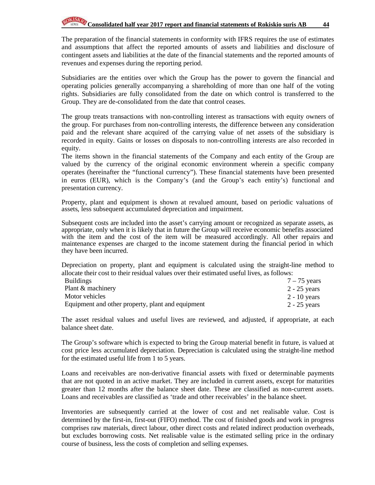The preparation of the financial statements in conformity with IFRS requires the use of estimates and assumptions that affect the reported amounts of assets and liabilities and disclosure of contingent assets and liabilities at the date of the financial statements and the reported amounts of revenues and expenses during the reporting period.

Subsidiaries are the entities over which the Group has the power to govern the financial and operating policies generally accompanying a shareholding of more than one half of the voting rights. Subsidiaries are fully consolidated from the date on which control is transferred to the Group. They are de-consolidated from the date that control ceases.

The group treats transactions with non-controlling interest as transactions with equity owners of the group. For purchases from non-controlling interests, the difference between any consideration paid and the relevant share acquired of the carrying value of net assets of the subsidiary is recorded in equity. Gains or losses on disposals to non-controlling interests are also recorded in equity.

The items shown in the financial statements of the Company and each entity of the Group are valued by the currency of the original economic environment wherein a specific company operates (hereinafter the "functional currency"). These financial statements have been presented in euros (EUR), which is the Company's (and the Group's each entity's) functional and presentation currency.

Property, plant and equipment is shown at revalued amount, based on periodic valuations of assets, less subsequent accumulated depreciation and impairment.

Subsequent costs are included into the asset's carrying amount or recognized as separate assets, as appropriate, only when it is likely that in future the Group will receive economic benefits associated with the item and the cost of the item will be measured accordingly. All other repairs and maintenance expenses are charged to the income statement during the financial period in which they have been incurred.

Depreciation on property, plant and equipment is calculated using the straight-line method to allocate their cost to their residual values over their estimated useful lives, as follows:

| <b>Buildings</b>                                  | $7 - 75$ years |
|---------------------------------------------------|----------------|
| Plant & machinery                                 | $2 - 25$ years |
| Motor vehicles                                    | $2 - 10$ years |
| Equipment and other property, plant and equipment | $2 - 25$ years |

The asset residual values and useful lives are reviewed, and adjusted, if appropriate, at each balance sheet date.

The Group's software which is expected to bring the Group material benefit in future, is valued at cost price less accumulated depreciation. Depreciation is calculated using the straight-line method for the estimated useful life from 1 to 5 years.

Loans and receivables are non-derivative financial assets with fixed or determinable payments that are not quoted in an active market. They are included in current assets, except for maturities greater than 12 months after the balance sheet date. These are classified as non-current assets. Loans and receivables are classified as 'trade and other receivables' in the balance sheet.

Inventories are subsequently carried at the lower of cost and net realisable value. Cost is determined by the first-in, first-out (FIFO) method. The cost of finished goods and work in progress comprises raw materials, direct labour, other direct costs and related indirect production overheads, but excludes borrowing costs. Net realisable value is the estimated selling price in the ordinary course of business, less the costs of completion and selling expenses.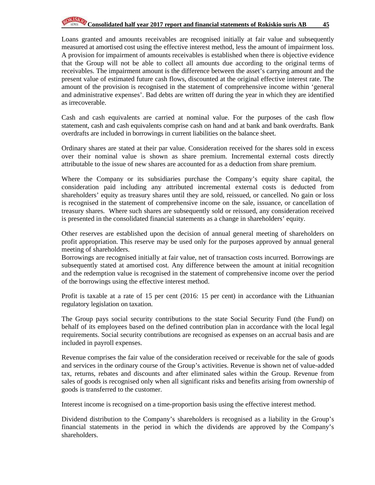Loans granted and amounts receivables are recognised initially at fair value and subsequently measured at amortised cost using the effective interest method, less the amount of impairment loss. A provision for impairment of amounts receivables is established when there is objective evidence that the Group will not be able to collect all amounts due according to the original terms of receivables. The impairment amount is the difference between the asset's carrying amount and the present value of estimated future cash flows, discounted at the original effective interest rate. The amount of the provision is recognised in the statement of comprehensive income within 'general and administrative expenses'. Bad debts are written off during the year in which they are identified as irrecoverable.

Cash and cash equivalents are carried at nominal value. For the purposes of the cash flow statement, cash and cash equivalents comprise cash on hand and at bank and bank overdrafts. Bank overdrafts are included in borrowings in current liabilities on the balance sheet.

Ordinary shares are stated at their par value. Consideration received for the shares sold in excess over their nominal value is shown as share premium. Incremental external costs directly attributable to the issue of new shares are accounted for as a deduction from share premium.

Where the Company or its subsidiaries purchase the Company's equity share capital, the consideration paid including any attributed incremental external costs is deducted from shareholders' equity as treasury shares until they are sold, reissued, or cancelled. No gain or loss is recognised in the statement of comprehensive income on the sale, issuance, or cancellation of treasury shares. Where such shares are subsequently sold or reissued, any consideration received is presented in the consolidated financial statements as a change in shareholders' equity.

Other reserves are established upon the decision of annual general meeting of shareholders on profit appropriation. This reserve may be used only for the purposes approved by annual general meeting of shareholders.

Borrowings are recognised initially at fair value, net of transaction costs incurred. Borrowings are subsequently stated at amortised cost. Any difference between the amount at initial recognition and the redemption value is recognised in the statement of comprehensive income over the period of the borrowings using the effective interest method.

Profit is taxable at a rate of 15 per cent (2016: 15 per cent) in accordance with the Lithuanian regulatory legislation on taxation.

The Group pays social security contributions to the state Social Security Fund (the Fund) on behalf of its employees based on the defined contribution plan in accordance with the local legal requirements. Social security contributions are recognised as expenses on an accrual basis and are included in payroll expenses.

Revenue comprises the fair value of the consideration received or receivable for the sale of goods and services in the ordinary course of the Group's activities. Revenue is shown net of value-added tax, returns, rebates and discounts and after eliminated sales within the Group. Revenue from sales of goods is recognised only when all significant risks and benefits arising from ownership of goods is transferred to the customer.

Interest income is recognised on a time-proportion basis using the effective interest method.

Dividend distribution to the Company's shareholders is recognised as a liability in the Group's financial statements in the period in which the dividends are approved by the Company's shareholders.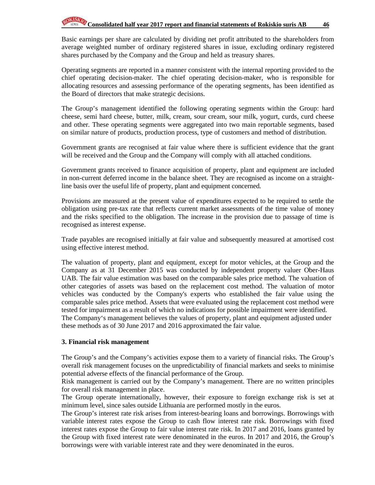Basic earnings per share are calculated by dividing net profit attributed to the shareholders from average weighted number of ordinary registered shares in issue, excluding ordinary registered shares purchased by the Company and the Group and held as treasury shares.

Operating segments are reported in a manner consistent with the internal reporting provided to the chief operating decision-maker. The chief operating decision-maker, who is responsible for allocating resources and assessing performance of the operating segments, has been identified as the Board of directors that make strategic decisions.

The Group's management identified the following operating segments within the Group: hard cheese, semi hard cheese, butter, milk, cream, sour cream, sour milk, yogurt, curds, curd cheese and other. These operating segments were aggregated into two main reportable segments, based on similar nature of products, production process, type of customers and method of distribution.

Government grants are recognised at fair value where there is sufficient evidence that the grant will be received and the Group and the Company will comply with all attached conditions.

Government grants received to finance acquisition of property, plant and equipment are included in non-current deferred income in the balance sheet. They are recognised as income on a straightline basis over the useful life of property, plant and equipment concerned.

Provisions are measured at the present value of expenditures expected to be required to settle the obligation using pre-tax rate that reflects current market assessments of the time value of money and the risks specified to the obligation. The increase in the provision due to passage of time is recognised as interest expense.

Trade payables are recognised initially at fair value and subsequently measured at amortised cost using effective interest method.

The valuation of property, plant and equipment, except for motor vehicles, at the Group and the Company as at 31 December 2015 was conducted by independent property valuer Ober-Haus UAB. The fair value estimation was based on the comparable sales price method. The valuation of other categories of assets was based on the replacement cost method. The valuation of motor vehicles was conducted by the Company's experts who established the fair value using the comparable sales price method. Assets that were evaluated using the replacement cost method were tested for impairment as a result of which no indications for possible impairment were identified. The Company's management believes the values of property, plant and equipment adjusted under these methods as of 30 June 2017 and 2016 approximated the fair value.

#### **3. Financial risk management**

The Group's and the Company's activities expose them to a variety of financial risks. The Group's overall risk management focuses on the unpredictability of financial markets and seeks to minimise potential adverse effects of the financial performance of the Group.

Risk management is carried out by the Company's management. There are no written principles for overall risk management in place.

The Group operate internationally, however, their exposure to foreign exchange risk is set at minimum level, since sales outside Lithuania are performed mostly in the euros.

The Group's interest rate risk arises from interest-bearing loans and borrowings. Borrowings with variable interest rates expose the Group to cash flow interest rate risk. Borrowings with fixed interest rates expose the Group to fair value interest rate risk. In 2017 and 2016, loans granted by the Group with fixed interest rate were denominated in the euros. In 2017 and 2016, the Group's borrowings were with variable interest rate and they were denominated in the euros.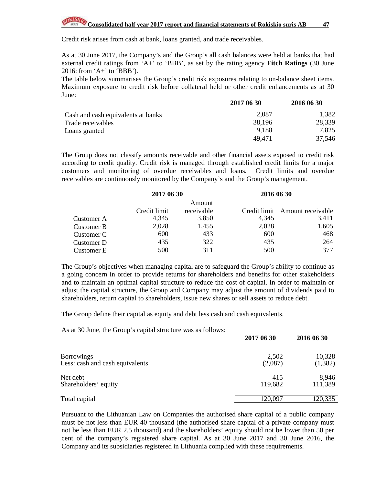Credit risk arises from cash at bank, loans granted, and trade receivables.

As at 30 June 2017, the Company's and the Group's all cash balances were held at banks that had external credit ratings from 'A+' to 'BBB', as set by the rating agency **Fitch Ratings** (30 June 2016: from 'A+' to 'BBB').

The table below summarises the Group's credit risk exposures relating to on-balance sheet items. Maximum exposure to credit risk before collateral held or other credit enhancements as at 30 June:

|                                    | 2017 06 30 | 2016 06 30 |
|------------------------------------|------------|------------|
| Cash and cash equivalents at banks | 2,087      | 1,382      |
| Trade receivables                  | 38,196     | 28,339     |
| Loans granted                      | 9.188      | 7,825      |
|                                    | 49,471     | 37,546     |

The Group does not classify amounts receivable and other financial assets exposed to credit risk according to credit quality. Credit risk is managed through established credit limits for a major customers and monitoring of overdue receivables and loans. Credit limits and overdue receivables are continuously monitored by the Company's and the Group's management.

|            | 2017 06 30   |            | 2016 06 30 |                                |
|------------|--------------|------------|------------|--------------------------------|
|            |              | Amount     |            |                                |
|            | Credit limit | receivable |            | Credit limit Amount receivable |
| Customer A | 4,345        | 3,850      | 4,345      | 3,411                          |
| Customer B | 2,028        | 1,455      | 2,028      | 1,605                          |
| Customer C | 600          | 433        | 600        | 468                            |
| Customer D | 435          | 322        | 435        | 264                            |
| Customer E | 500          | 311        | 500        | 377                            |

The Group's objectives when managing capital are to safeguard the Group's ability to continue as a going concern in order to provide returns for shareholders and benefits for other stakeholders and to maintain an optimal capital structure to reduce the cost of capital. In order to maintain or adjust the capital structure, the Group and Company may adjust the amount of dividends paid to shareholders, return capital to shareholders, issue new shares or sell assets to reduce debt.

The Group define their capital as equity and debt less cash and cash equivalents.

As at 30 June, the Group's capital structure was as follows:

|                                 | 2017 06 30 | 2016 06 30 |
|---------------------------------|------------|------------|
| <b>Borrowings</b>               | 2,502      | 10,328     |
| Less: cash and cash equivalents | (2,087)    | (1, 382)   |
| Net debt                        | 415        | 8,946      |
| Shareholders' equity            | 119,682    | 111,389    |
| Total capital                   | 120,097    | 120,335    |

Pursuant to the Lithuanian Law on Companies the authorised share capital of a public company must be not less than EUR 40 thousand (the authorised share capital of a private company must not be less than EUR 2.5 thousand) and the shareholders' equity should not be lower than 50 per cent of the company's registered share capital. As at 30 June 2017 and 30 June 2016, the Company and its subsidiaries registered in Lithuania complied with these requirements.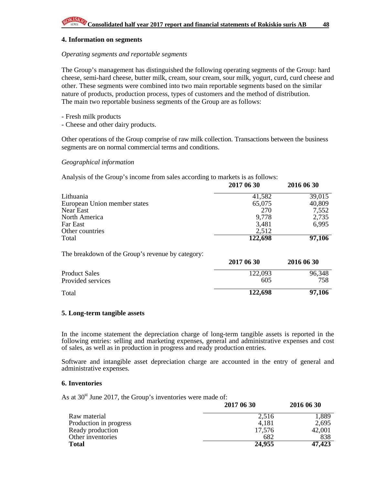#### **4. Information on segments**

#### *Operating segments and reportable segments*

The Group's management has distinguished the following operating segments of the Group: hard cheese, semi-hard cheese, butter milk, cream, sour cream, sour milk, yogurt, curd, curd cheese and other. These segments were combined into two main reportable segments based on the similar nature of products, production process, types of customers and the method of distribution. The main two reportable business segments of the Group are as follows:

- Fresh milk products
- Cheese and other dairy products.

Other operations of the Group comprise of raw milk collection. Transactions between the business segments are on normal commercial terms and conditions.

#### *Geographical information*

Analysis of the Group's income from sales according to markets is as follows:

|                                                   | 2017 06 30 | 2016 06 30 |
|---------------------------------------------------|------------|------------|
| Lithuania                                         | 41,582     | 39,015     |
| European Union member states                      | 65,075     | 40,809     |
| Near East                                         | 270        | 7,552      |
| North America                                     | 9,778      | 2,735      |
| Far East                                          | 3,481      | 6,995      |
| Other countries                                   | 2,512      |            |
| Total                                             | 122,698    | 97,106     |
| The breakdown of the Group's revenue by category: |            |            |
|                                                   | 2017 06 30 | 2016 06 30 |

| <b>Product Sales</b> | 122,093 | 96,348 |
|----------------------|---------|--------|
| Provided services    | 605     | 758    |
| Total                | 122,698 | 97,106 |

#### **5. Long-term tangible assets**

In the income statement the depreciation charge of long-term tangible assets is reported in the following entries: selling and marketing expenses, general and administrative expenses and cost of sales, as well as in production in progress and ready production entries.

Software and intangible asset depreciation charge are accounted in the entry of general and administrative expenses.

#### **6. Inventories**

As at  $30<sup>st</sup>$  June 2017, the Group's inventories were made of:

|                        | 2017 06 30 | 2016 06 30 |
|------------------------|------------|------------|
| Raw material           | 2.516      | 1,889      |
| Production in progress | 4,181      | 2,695      |
| Ready production       | 17.576     | 42,001     |
| Other inventories      | 682        | 838        |
| <b>Total</b>           | 24,955     | 47,423     |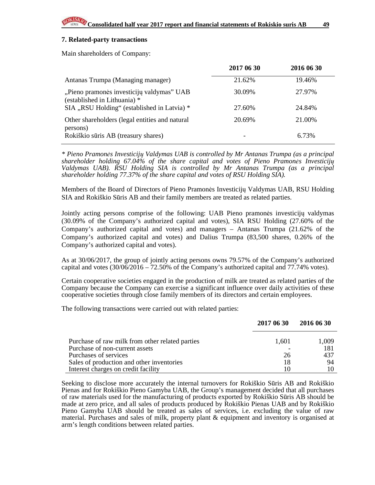#### **7. Related-party transactions**

Main shareholders of Company:

|                                                                           | 2017 06 30 | 2016 06 30 |
|---------------------------------------------------------------------------|------------|------------|
| Antanas Trumpa (Managing manager)                                         | 21.62%     | 19.46%     |
| "Pieno pramonės investicijų valdymas" UAB<br>(established in Lithuania) * | 30.09%     | 27.97%     |
| SIA "RSU Holding" (established in Latvia) *                               | 27.60%     | 24.84%     |
| Other shareholders (legal entities and natural<br>persons)                | 20.69%     | 21.00%     |
| Rokiškio sūris AB (treasury shares)                                       |            | 6.73%      |

*\* Pieno Pramon*ė*s Investicij*ų *Valdymas UAB is controlled by Mr Antanas Trumpa (as a principal shareholder holding 67.04% of the share capital and votes of Pieno Pramon*ė*s Investicij*ų *Valdymas UAB). RSU Holding SIA is controlled by Mr Antanas Trumpa (as a principal shareholder holding 77.37% of the share capital and votes of RSU Holding SIA).* 

Members of the Board of Directors of Pieno Pramonės Investicijų Valdymas UAB, RSU Holding SIA and Rokiškio Sūris AB and their family members are treated as related parties.

Jointly acting persons comprise of the following: UAB Pieno pramonės investicijų valdymas (30.09% of the Company's authorized capital and votes), SIA RSU Holding (27.60% of the Company's authorized capital and votes) and managers – Antanas Trumpa (21.62% of the Company's authorized capital and votes) and Dalius Trumpa (83,500 shares, 0.26% of the Company's authorized capital and votes).

As at 30/06/2017, the group of jointly acting persons owns 79.57% of the Company's authorized capital and votes  $(30/06/2016 - 72.50\%$  of the Company's authorized capital and 77.74% votes).

Certain cooperative societies engaged in the production of milk are treated as related parties of the Company because the Company can exercise a significant influence over daily activities of these cooperative societies through close family members of its directors and certain employees.

The following transactions were carried out with related parties:

|                                                 | 2017 06 30 | 2016 06 30 |
|-------------------------------------------------|------------|------------|
| Purchase of raw milk from other related parties | 1,601      | 1,009      |
| Purchase of non-current assets                  |            | 181        |
| Purchases of services                           | 26         | 437        |
| Sales of production and other inventories       | 18         | 94         |
| Interest charges on credit facility             |            |            |

Seeking to disclose more accurately the internal turnovers for Rokiškio Sūris AB and Rokiškio Pienas and for Rokiškio Pieno Gamyba UAB, the Group's management decided that all purchases of raw materials used for the manufacturing of products exported by Rokiškio Sūris AB should be made at zero price, and all sales of products produced by Rokiškio Pienas UAB and by Rokiškio Pieno Gamyba UAB should be treated as sales of services, i.e. excluding the value of raw material. Purchases and sales of milk, property plant & equipment and inventory is organised at arm's length conditions between related parties.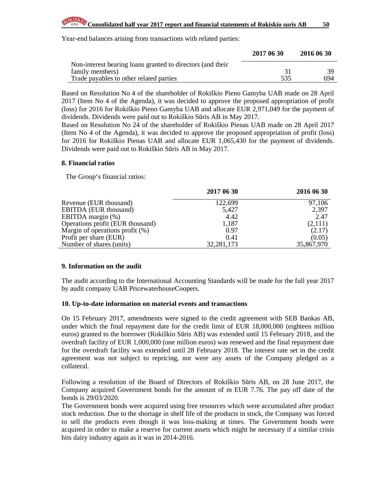Year-end balances arising from transactions with related parties:

|                                                            | 2017 06 30 | 2016 06 30 |
|------------------------------------------------------------|------------|------------|
| Non-interest bearing loans granted to directors (and their |            |            |
| family members)                                            |            | 39.        |
| Trade payables to other related parties                    | 535        | 694        |

Based on Resolution No 4 of the shareholder of Rokiškio Pieno Gamyba UAB made on 28 April 2017 (Item No 4 of the Agenda), it was decided to approve the proposed appropriation of profit (loss) for 2016 for Rokiškio Pieno Gamyba UAB and allocate EUR 2,971,049 for the payment of dividends. Dividends were paid out to Rokiškio Sūris AB in May 2017.

Based on Resolution No 24 of the shareholder of Rokiškio Pienas UAB made on 28 April 2017 (Item No 4 of the Agenda), it was decided to approve the proposed appropriation of profit (loss) for 2016 for Rokiškio Pienas UAB and allocate EUR 1,065,430 for the payment of dividends. Dividends were paid out to Rokiškio Sūris AB in May 2017.

#### **8. Financial ratios**

The Group's financial ratios:

|                                    | 2017 06 30 | 2016 06 30 |
|------------------------------------|------------|------------|
| Revenue (EUR thousand)             | 122,699    | 97,106     |
| <b>EBITDA</b> (EUR thousand)       | 5,427      | 2,397      |
| EBITDA margin (%)                  | 4.42       | 2.47       |
| Operations profit (EUR thousand)   | 1,187      | (2,111)    |
| Margin of operations profit $(\%)$ | 0.97       | (2.17)     |
| Profit per share (EUR)             | 0.41       | (0.05)     |
| Number of shares (units)           | 32,281,173 | 35,867,970 |

#### **9. Information on the audit**

The audit according to the International Accounting Standards will be made for the full year 2017 by audit company UAB PricewaterhouseCoopers.

#### **10. Up-to-date information on material events and transactions**

On 15 February 2017, amendments were signed to the credit agreement with SEB Bankas AB, under which the final repayment date for the credit limit of EUR 18,000,000 (eighteen million euros) granted to the borrower (Rokiškio Sūris AB) was extended until 15 February 2018, and the overdraft facility of EUR 1,000,000 (one million euros) was renewed and the final repayment date for the overdraft facility was extended until 28 February 2018. The interest rate set in the credit agreement was not subject to repricing, nor were any assets of the Company pledged as a collateral.

Following a resolution of the Board of Directors of Rokiškio Sūris AB, on 28 June 2017, the Company acquired Government bonds for the amount of m EUR 7.76. The pay off date of the bonds is 29/03/2020.

The Government bonds were acquired using free resources which were accumulated after product stock reduction. Due to the shortage in shelf life of the products in stock, the Company was forced to sell the products even though it was loss-making at times. The Government bonds were acquired in order to make a reserve for current assets which might be necessary if a similar crisis hits dairy industry again as it was in 2014-2016.